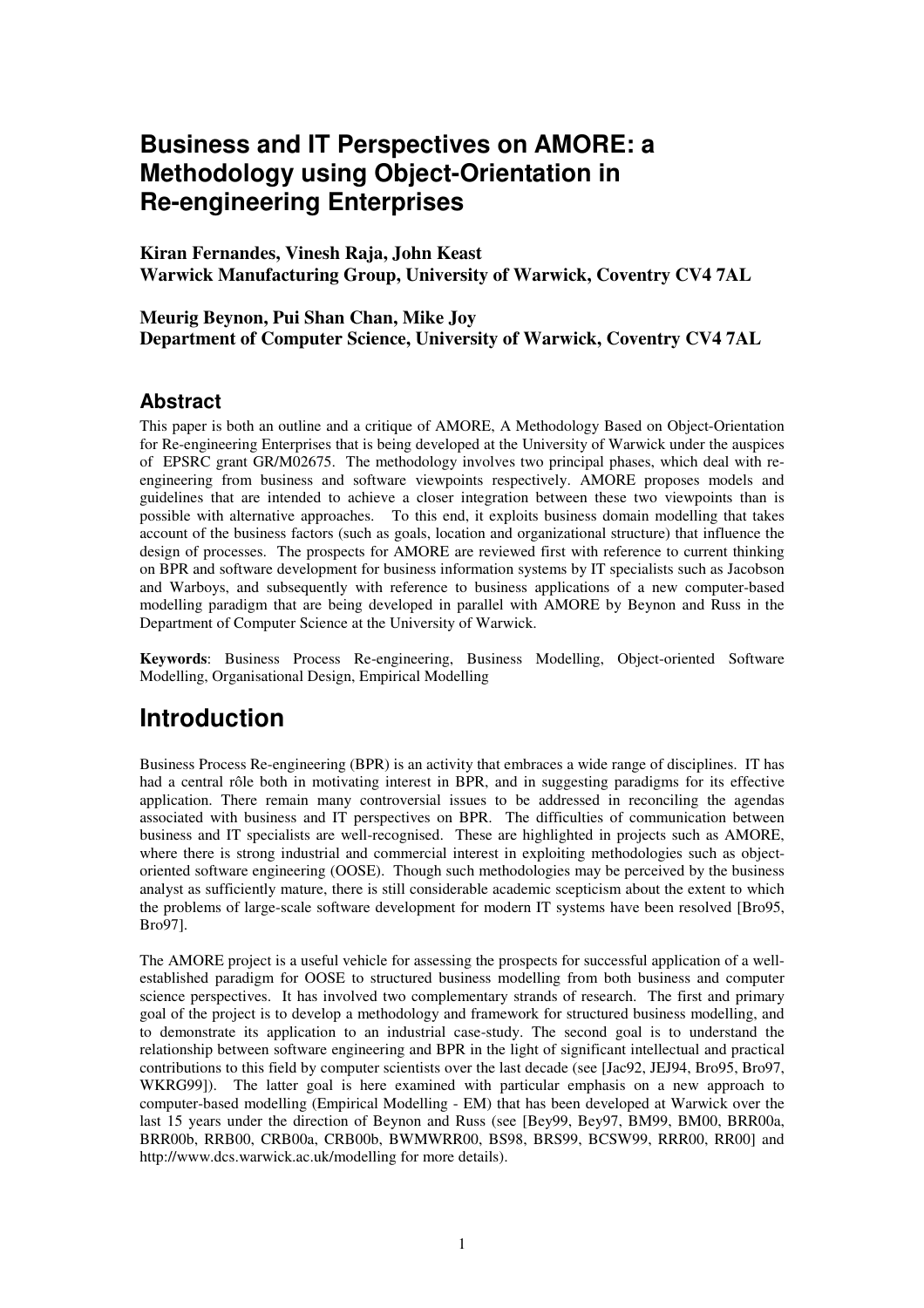# **Business and IT Perspectives on AMORE: a Methodology using Object-Orientation in Re-engineering Enterprises**

**Kiran Fernandes, Vinesh Raja, John Keast Warwick Manufacturing Group, University of Warwick, Coventry CV4 7AL** 

#### **Meurig Beynon, Pui Shan Chan, Mike Joy Department of Computer Science, University of Warwick, Coventry CV4 7AL**

### **Abstract**

This paper is both an outline and a critique of AMORE, A Methodology Based on Object-Orientation for Re-engineering Enterprises that is being developed at the University of Warwick under the auspices of EPSRC grant GR/M02675. The methodology involves two principal phases, which deal with reengineering from business and software viewpoints respectively. AMORE proposes models and guidelines that are intended to achieve a closer integration between these two viewpoints than is possible with alternative approaches. To this end, it exploits business domain modelling that takes account of the business factors (such as goals, location and organizational structure) that influence the design of processes. The prospects for AMORE are reviewed first with reference to current thinking on BPR and software development for business information systems by IT specialists such as Jacobson and Warboys, and subsequently with reference to business applications of a new computer-based modelling paradigm that are being developed in parallel with AMORE by Beynon and Russ in the Department of Computer Science at the University of Warwick.

**Keywords**: Business Process Re-engineering, Business Modelling, Object-oriented Software Modelling, Organisational Design, Empirical Modelling

# **Introduction**

Business Process Re-engineering (BPR) is an activity that embraces a wide range of disciplines. IT has had a central rôle both in motivating interest in BPR, and in suggesting paradigms for its effective application. There remain many controversial issues to be addressed in reconciling the agendas associated with business and IT perspectives on BPR. The difficulties of communication between business and IT specialists are well-recognised. These are highlighted in projects such as AMORE, where there is strong industrial and commercial interest in exploiting methodologies such as objectoriented software engineering (OOSE). Though such methodologies may be perceived by the business analyst as sufficiently mature, there is still considerable academic scepticism about the extent to which the problems of large-scale software development for modern IT systems have been resolved [Bro95, Bro97].

The AMORE project is a useful vehicle for assessing the prospects for successful application of a wellestablished paradigm for OOSE to structured business modelling from both business and computer science perspectives. It has involved two complementary strands of research. The first and primary goal of the project is to develop a methodology and framework for structured business modelling, and to demonstrate its application to an industrial case-study. The second goal is to understand the relationship between software engineering and BPR in the light of significant intellectual and practical contributions to this field by computer scientists over the last decade (see [Jac92, JEJ94, Bro95, Bro97, WKRG99). The latter goal is here examined with particular emphasis on a new approach to computer-based modelling (Empirical Modelling - EM) that has been developed at Warwick over the last 15 years under the direction of Beynon and Russ (see [Bey99, Bey97, BM99, BM00, BRR00a, BRR00b, RRB00, CRB00a, CRB00b, BWMWRR00, BS98, BRS99, BCSW99, RRR00, RR00] and http://www.dcs.warwick.ac.uk/modelling for more details).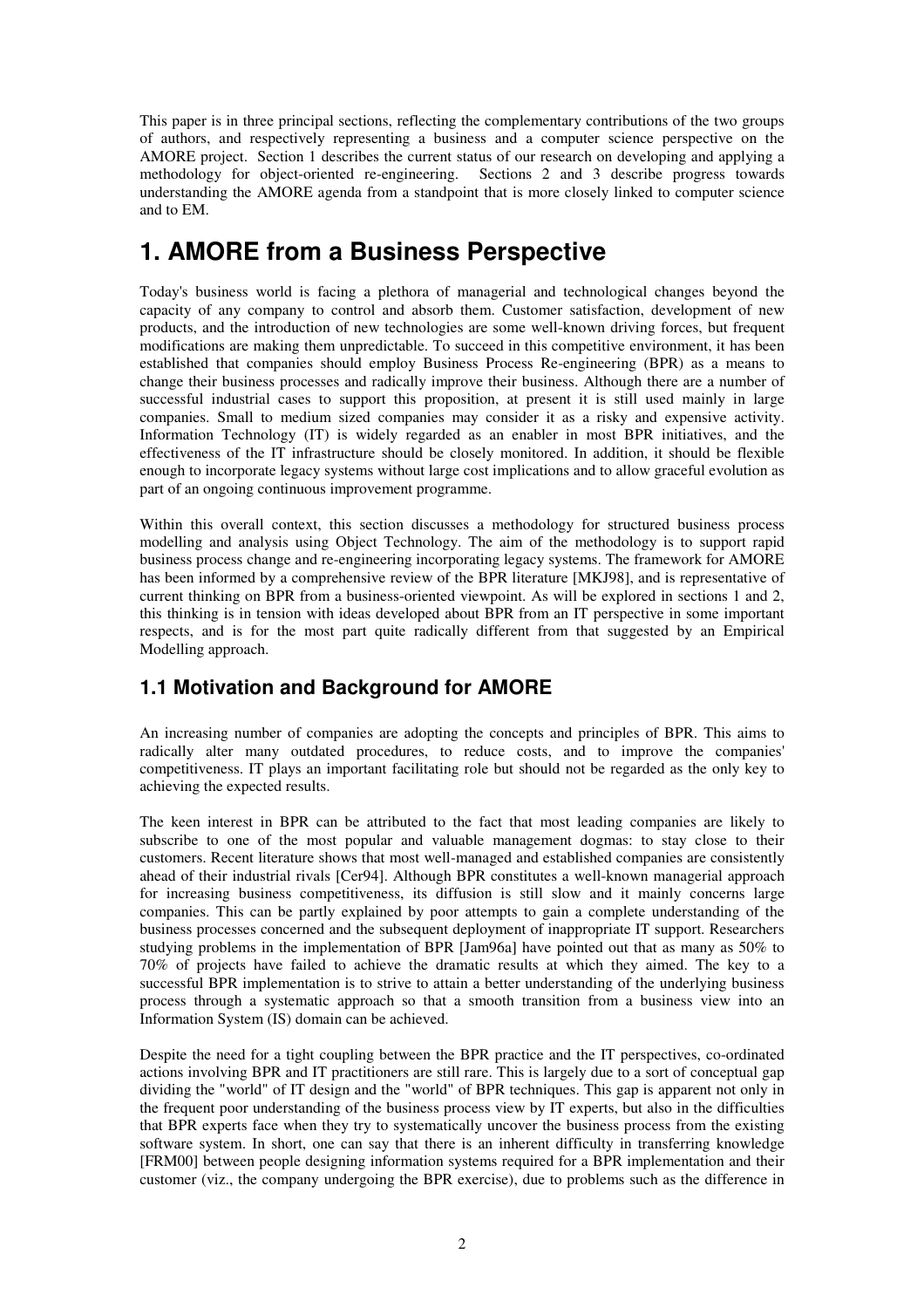This paper is in three principal sections, reflecting the complementary contributions of the two groups of authors, and respectively representing a business and a computer science perspective on the AMORE project. Section 1 describes the current status of our research on developing and applying a methodology for object-oriented re-engineering. Sections 2 and 3 describe progress towards understanding the AMORE agenda from a standpoint that is more closely linked to computer science and to EM.

# **1. AMORE from a Business Perspective**

Today's business world is facing a plethora of managerial and technological changes beyond the capacity of any company to control and absorb them. Customer satisfaction, development of new products, and the introduction of new technologies are some well-known driving forces, but frequent modifications are making them unpredictable. To succeed in this competitive environment, it has been established that companies should employ Business Process Re-engineering (BPR) as a means to change their business processes and radically improve their business. Although there are a number of successful industrial cases to support this proposition, at present it is still used mainly in large companies. Small to medium sized companies may consider it as a risky and expensive activity. Information Technology (IT) is widely regarded as an enabler in most BPR initiatives, and the effectiveness of the IT infrastructure should be closely monitored. In addition, it should be flexible enough to incorporate legacy systems without large cost implications and to allow graceful evolution as part of an ongoing continuous improvement programme.

Within this overall context, this section discusses a methodology for structured business process modelling and analysis using Object Technology. The aim of the methodology is to support rapid business process change and re-engineering incorporating legacy systems. The framework for AMORE has been informed by a comprehensive review of the BPR literature [MKJ98], and is representative of current thinking on BPR from a business-oriented viewpoint. As will be explored in sections 1 and 2, this thinking is in tension with ideas developed about BPR from an IT perspective in some important respects, and is for the most part quite radically different from that suggested by an Empirical Modelling approach.

## **1.1 Motivation and Background for AMORE**

An increasing number of companies are adopting the concepts and principles of BPR. This aims to radically alter many outdated procedures, to reduce costs, and to improve the companies' competitiveness. IT plays an important facilitating role but should not be regarded as the only key to achieving the expected results.

The keen interest in BPR can be attributed to the fact that most leading companies are likely to subscribe to one of the most popular and valuable management dogmas: to stay close to their customers. Recent literature shows that most well-managed and established companies are consistently ahead of their industrial rivals [Cer94]. Although BPR constitutes a well-known managerial approach for increasing business competitiveness, its diffusion is still slow and it mainly concerns large companies. This can be partly explained by poor attempts to gain a complete understanding of the business processes concerned and the subsequent deployment of inappropriate IT support. Researchers studying problems in the implementation of BPR [Jam96a] have pointed out that as many as 50% to 70% of projects have failed to achieve the dramatic results at which they aimed. The key to a successful BPR implementation is to strive to attain a better understanding of the underlying business process through a systematic approach so that a smooth transition from a business view into an Information System (IS) domain can be achieved.

Despite the need for a tight coupling between the BPR practice and the IT perspectives, co-ordinated actions involving BPR and IT practitioners are still rare. This is largely due to a sort of conceptual gap dividing the "world" of IT design and the "world" of BPR techniques. This gap is apparent not only in the frequent poor understanding of the business process view by IT experts, but also in the difficulties that BPR experts face when they try to systematically uncover the business process from the existing software system. In short, one can say that there is an inherent difficulty in transferring knowledge [FRM00] between people designing information systems required for a BPR implementation and their customer (viz., the company undergoing the BPR exercise), due to problems such as the difference in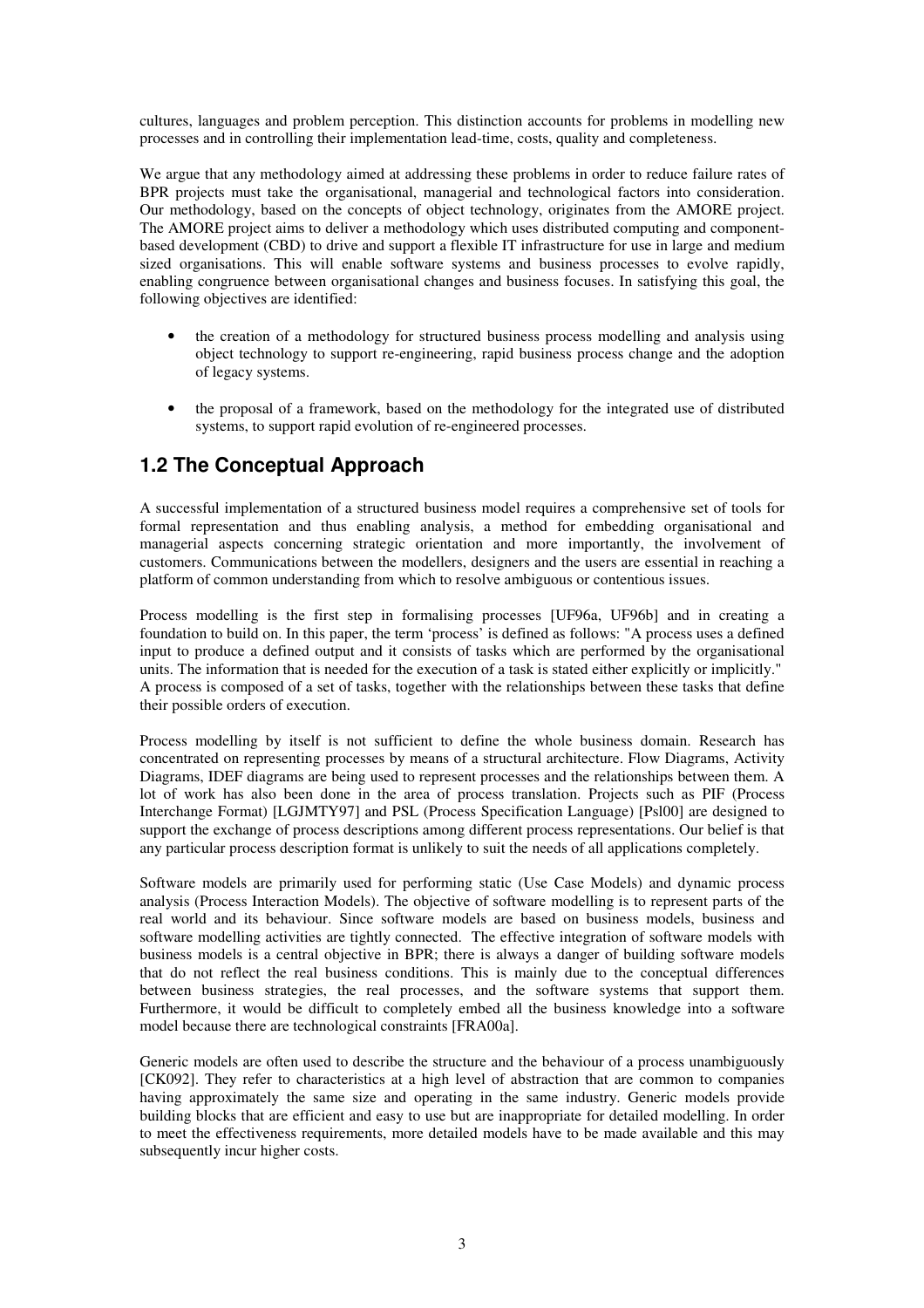cultures, languages and problem perception. This distinction accounts for problems in modelling new processes and in controlling their implementation lead-time, costs, quality and completeness.

We argue that any methodology aimed at addressing these problems in order to reduce failure rates of BPR projects must take the organisational, managerial and technological factors into consideration. Our methodology, based on the concepts of object technology, originates from the AMORE project. The AMORE project aims to deliver a methodology which uses distributed computing and componentbased development (CBD) to drive and support a flexible IT infrastructure for use in large and medium sized organisations. This will enable software systems and business processes to evolve rapidly, enabling congruence between organisational changes and business focuses. In satisfying this goal, the following objectives are identified:

- the creation of a methodology for structured business process modelling and analysis using object technology to support re-engineering, rapid business process change and the adoption of legacy systems.
- the proposal of a framework, based on the methodology for the integrated use of distributed systems, to support rapid evolution of re-engineered processes.

### **1.2 The Conceptual Approach**

A successful implementation of a structured business model requires a comprehensive set of tools for formal representation and thus enabling analysis, a method for embedding organisational and managerial aspects concerning strategic orientation and more importantly, the involvement of customers. Communications between the modellers, designers and the users are essential in reaching a platform of common understanding from which to resolve ambiguous or contentious issues.

Process modelling is the first step in formalising processes [UF96a, UF96b] and in creating a foundation to build on. In this paper, the term 'process' is defined as follows: "A process uses a defined input to produce a defined output and it consists of tasks which are performed by the organisational units. The information that is needed for the execution of a task is stated either explicitly or implicitly." A process is composed of a set of tasks, together with the relationships between these tasks that define their possible orders of execution.

Process modelling by itself is not sufficient to define the whole business domain. Research has concentrated on representing processes by means of a structural architecture. Flow Diagrams, Activity Diagrams, IDEF diagrams are being used to represent processes and the relationships between them. A lot of work has also been done in the area of process translation. Projects such as PIF (Process Interchange Format) [LGJMTY97] and PSL (Process Specification Language) [Psl00] are designed to support the exchange of process descriptions among different process representations. Our belief is that any particular process description format is unlikely to suit the needs of all applications completely.

Software models are primarily used for performing static (Use Case Models) and dynamic process analysis (Process Interaction Models). The objective of software modelling is to represent parts of the real world and its behaviour. Since software models are based on business models, business and software modelling activities are tightly connected. The effective integration of software models with business models is a central objective in BPR; there is always a danger of building software models that do not reflect the real business conditions. This is mainly due to the conceptual differences between business strategies, the real processes, and the software systems that support them. Furthermore, it would be difficult to completely embed all the business knowledge into a software model because there are technological constraints [FRA00a].

Generic models are often used to describe the structure and the behaviour of a process unambiguously [CK092]. They refer to characteristics at a high level of abstraction that are common to companies having approximately the same size and operating in the same industry. Generic models provide building blocks that are efficient and easy to use but are inappropriate for detailed modelling. In order to meet the effectiveness requirements, more detailed models have to be made available and this may subsequently incur higher costs.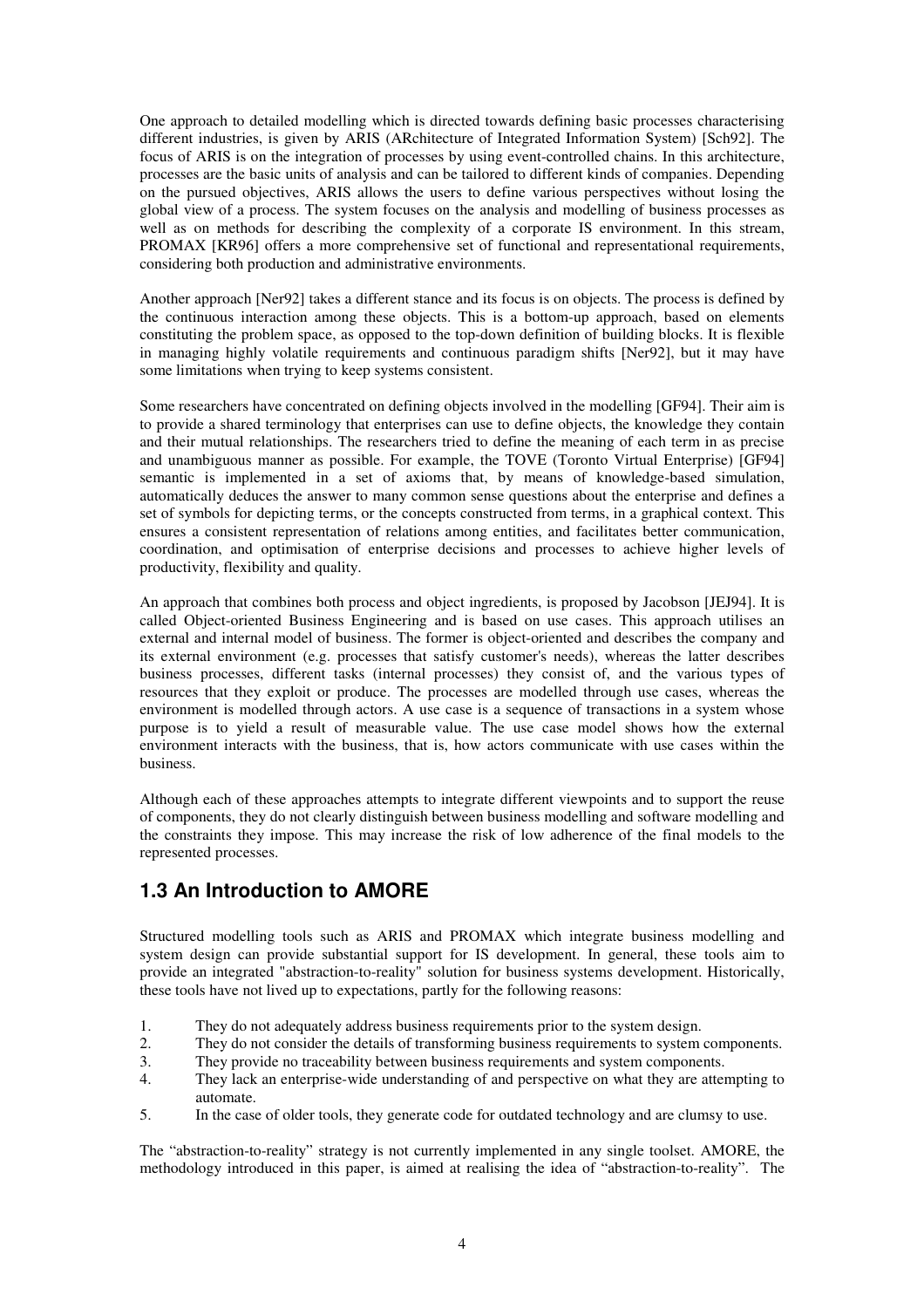One approach to detailed modelling which is directed towards defining basic processes characterising different industries, is given by ARIS (ARchitecture of Integrated Information System) [Sch92]. The focus of ARIS is on the integration of processes by using event-controlled chains. In this architecture, processes are the basic units of analysis and can be tailored to different kinds of companies. Depending on the pursued objectives, ARIS allows the users to define various perspectives without losing the global view of a process. The system focuses on the analysis and modelling of business processes as well as on methods for describing the complexity of a corporate IS environment. In this stream, PROMAX [KR96] offers a more comprehensive set of functional and representational requirements, considering both production and administrative environments.

Another approach [Ner92] takes a different stance and its focus is on objects. The process is defined by the continuous interaction among these objects. This is a bottom-up approach, based on elements constituting the problem space, as opposed to the top-down definition of building blocks. It is flexible in managing highly volatile requirements and continuous paradigm shifts [Ner92], but it may have some limitations when trying to keep systems consistent.

Some researchers have concentrated on defining objects involved in the modelling [GF94]. Their aim is to provide a shared terminology that enterprises can use to define objects, the knowledge they contain and their mutual relationships. The researchers tried to define the meaning of each term in as precise and unambiguous manner as possible. For example, the TOVE (Toronto Virtual Enterprise) [GF94] semantic is implemented in a set of axioms that, by means of knowledge-based simulation, automatically deduces the answer to many common sense questions about the enterprise and defines a set of symbols for depicting terms, or the concepts constructed from terms, in a graphical context. This ensures a consistent representation of relations among entities, and facilitates better communication, coordination, and optimisation of enterprise decisions and processes to achieve higher levels of productivity, flexibility and quality.

An approach that combines both process and object ingredients, is proposed by Jacobson [JEJ94]. It is called Object-oriented Business Engineering and is based on use cases. This approach utilises an external and internal model of business. The former is object-oriented and describes the company and its external environment (e.g. processes that satisfy customer's needs), whereas the latter describes business processes, different tasks (internal processes) they consist of, and the various types of resources that they exploit or produce. The processes are modelled through use cases, whereas the environment is modelled through actors. A use case is a sequence of transactions in a system whose purpose is to yield a result of measurable value. The use case model shows how the external environment interacts with the business, that is, how actors communicate with use cases within the business.

Although each of these approaches attempts to integrate different viewpoints and to support the reuse of components, they do not clearly distinguish between business modelling and software modelling and the constraints they impose. This may increase the risk of low adherence of the final models to the represented processes.

## **1.3 An Introduction to AMORE**

Structured modelling tools such as ARIS and PROMAX which integrate business modelling and system design can provide substantial support for IS development. In general, these tools aim to provide an integrated "abstraction-to-reality" solution for business systems development. Historically, these tools have not lived up to expectations, partly for the following reasons:

- 1. They do not adequately address business requirements prior to the system design.<br>2. They do not consider the details of transforming business requirements to system
- 2. They do not consider the details of transforming business requirements to system components.<br>3. They provide no traceability between business requirements and system components.
- They provide no traceability between business requirements and system components.
- 4. They lack an enterprise-wide understanding of and perspective on what they are attempting to automate.
- 5. In the case of older tools, they generate code for outdated technology and are clumsy to use.

The "abstraction-to-reality" strategy is not currently implemented in any single toolset. AMORE, the methodology introduced in this paper, is aimed at realising the idea of "abstraction-to-reality". The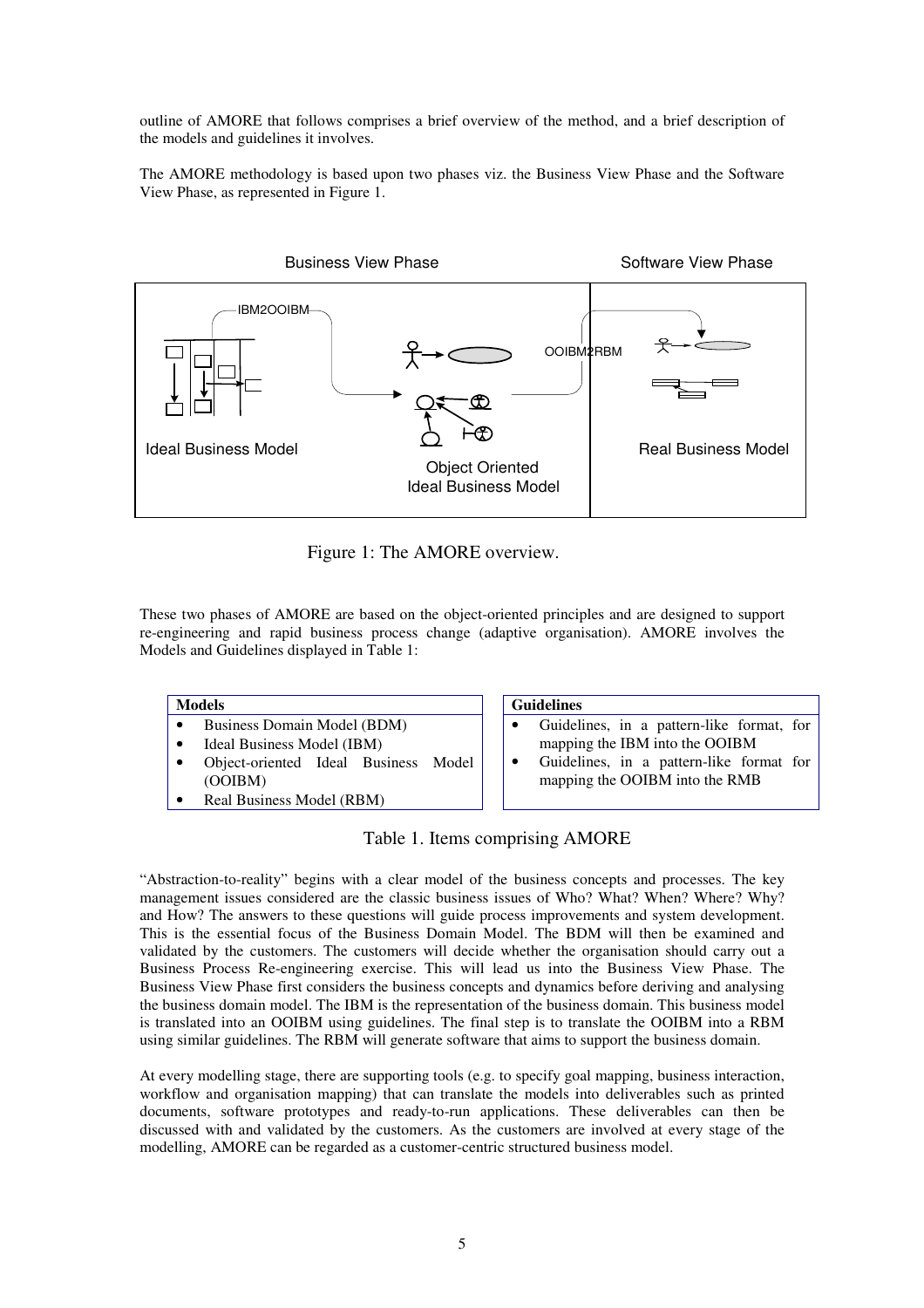outline of AMORE that follows comprises a brief overview of the method, and a brief description of the models and guidelines it involves.

The AMORE methodology is based upon two phases viz. the Business View Phase and the Software View Phase, as represented in Figure 1.



Figure 1: The AMORE overview.

These two phases of AMORE are based on the object-oriented principles and are designed to support re-engineering and rapid business process change (adaptive organisation). AMORE involves the Models and Guidelines displayed in Table 1:

- Business Domain Model (BDM)
- Ideal Business Model (IBM)
- Object-oriented Ideal Business Model (OOIBM)
- Real Business Model (RBM)

#### **Models Guidelines**

- Guidelines, in a pattern-like format, for mapping the IBM into the OOIBM
- Guidelines, in a pattern-like format for mapping the OOIBM into the RMB

#### Table 1. Items comprising AMORE

"Abstraction-to-reality" begins with a clear model of the business concepts and processes. The key management issues considered are the classic business issues of Who? What? When? Where? Why? and How? The answers to these questions will guide process improvements and system development. This is the essential focus of the Business Domain Model. The BDM will then be examined and validated by the customers. The customers will decide whether the organisation should carry out a Business Process Re-engineering exercise. This will lead us into the Business View Phase. The Business View Phase first considers the business concepts and dynamics before deriving and analysing the business domain model. The IBM is the representation of the business domain. This business model is translated into an OOIBM using guidelines. The final step is to translate the OOIBM into a RBM using similar guidelines. The RBM will generate software that aims to support the business domain.

At every modelling stage, there are supporting tools (e.g. to specify goal mapping, business interaction, workflow and organisation mapping) that can translate the models into deliverables such as printed documents, software prototypes and ready-to-run applications. These deliverables can then be discussed with and validated by the customers. As the customers are involved at every stage of the modelling, AMORE can be regarded as a customer-centric structured business model.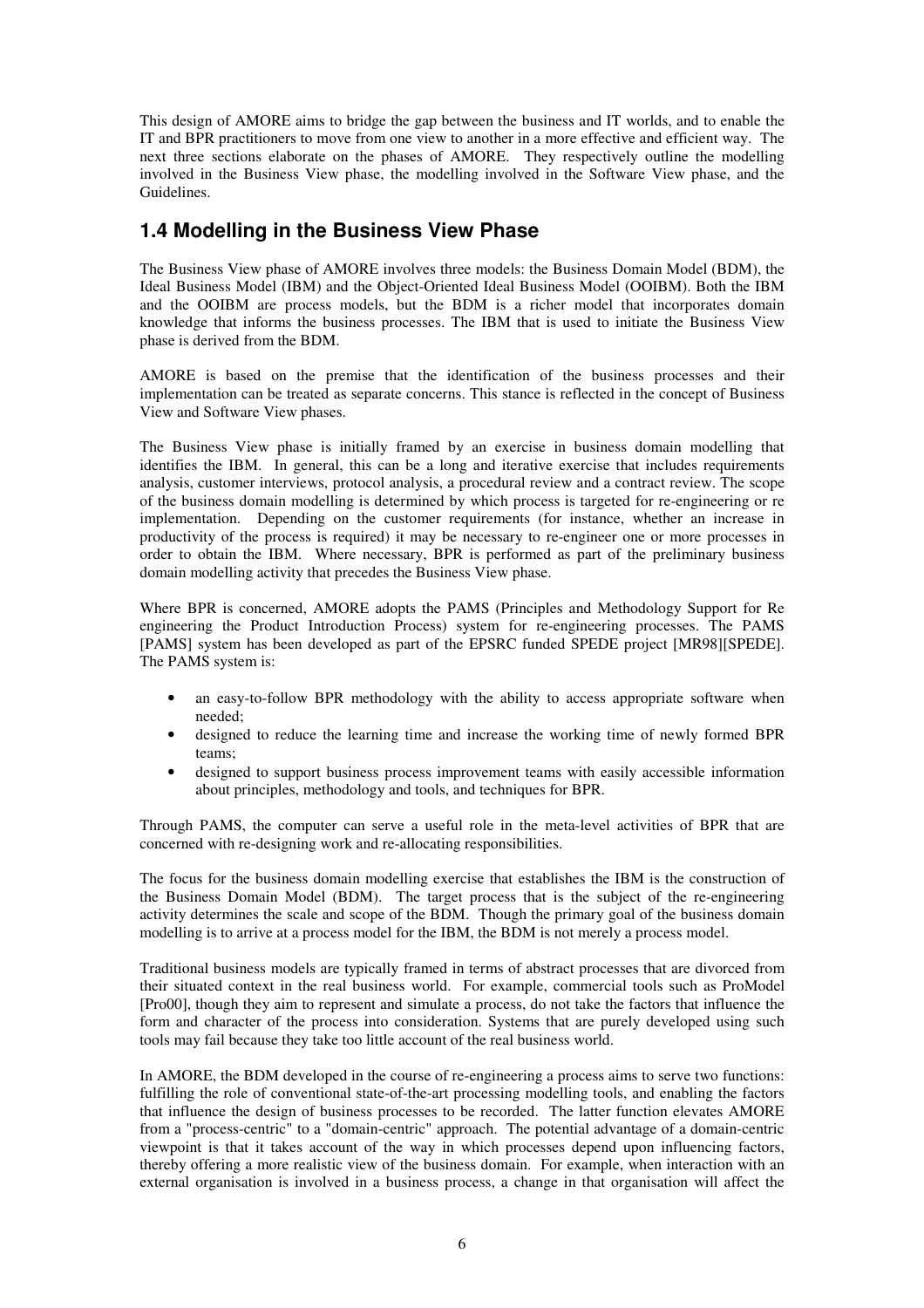This design of AMORE aims to bridge the gap between the business and IT worlds, and to enable the IT and BPR practitioners to move from one view to another in a more effective and efficient way. The next three sections elaborate on the phases of AMORE. They respectively outline the modelling involved in the Business View phase, the modelling involved in the Software View phase, and the Guidelines.

### **1.4 Modelling in the Business View Phase**

The Business View phase of AMORE involves three models: the Business Domain Model (BDM), the Ideal Business Model (IBM) and the Object-Oriented Ideal Business Model (OOIBM). Both the IBM and the OOIBM are process models, but the BDM is a richer model that incorporates domain knowledge that informs the business processes. The IBM that is used to initiate the Business View phase is derived from the BDM.

AMORE is based on the premise that the identification of the business processes and their implementation can be treated as separate concerns. This stance is reflected in the concept of Business View and Software View phases.

The Business View phase is initially framed by an exercise in business domain modelling that identifies the IBM. In general, this can be a long and iterative exercise that includes requirements analysis, customer interviews, protocol analysis, a procedural review and a contract review. The scope of the business domain modelling is determined by which process is targeted for re-engineering or re implementation. Depending on the customer requirements (for instance, whether an increase in productivity of the process is required) it may be necessary to re-engineer one or more processes in order to obtain the IBM. Where necessary, BPR is performed as part of the preliminary business domain modelling activity that precedes the Business View phase.

Where BPR is concerned, AMORE adopts the PAMS (Principles and Methodology Support for Re engineering the Product Introduction Process) system for re-engineering processes. The PAMS [PAMS] system has been developed as part of the EPSRC funded SPEDE project [MR98][SPEDE]. The PAMS system is:

- an easy-to-follow BPR methodology with the ability to access appropriate software when needed;
- designed to reduce the learning time and increase the working time of newly formed BPR teams;
- designed to support business process improvement teams with easily accessible information about principles, methodology and tools, and techniques for BPR.

Through PAMS, the computer can serve a useful role in the meta-level activities of BPR that are concerned with re-designing work and re-allocating responsibilities.

The focus for the business domain modelling exercise that establishes the IBM is the construction of the Business Domain Model (BDM). The target process that is the subject of the re-engineering activity determines the scale and scope of the BDM. Though the primary goal of the business domain modelling is to arrive at a process model for the IBM, the BDM is not merely a process model.

Traditional business models are typically framed in terms of abstract processes that are divorced from their situated context in the real business world. For example, commercial tools such as ProModel [Pro00], though they aim to represent and simulate a process, do not take the factors that influence the form and character of the process into consideration. Systems that are purely developed using such tools may fail because they take too little account of the real business world.

In AMORE, the BDM developed in the course of re-engineering a process aims to serve two functions: fulfilling the role of conventional state-of-the-art processing modelling tools, and enabling the factors that influence the design of business processes to be recorded. The latter function elevates AMORE from a "process-centric" to a "domain-centric" approach. The potential advantage of a domain-centric viewpoint is that it takes account of the way in which processes depend upon influencing factors, thereby offering a more realistic view of the business domain. For example, when interaction with an external organisation is involved in a business process, a change in that organisation will affect the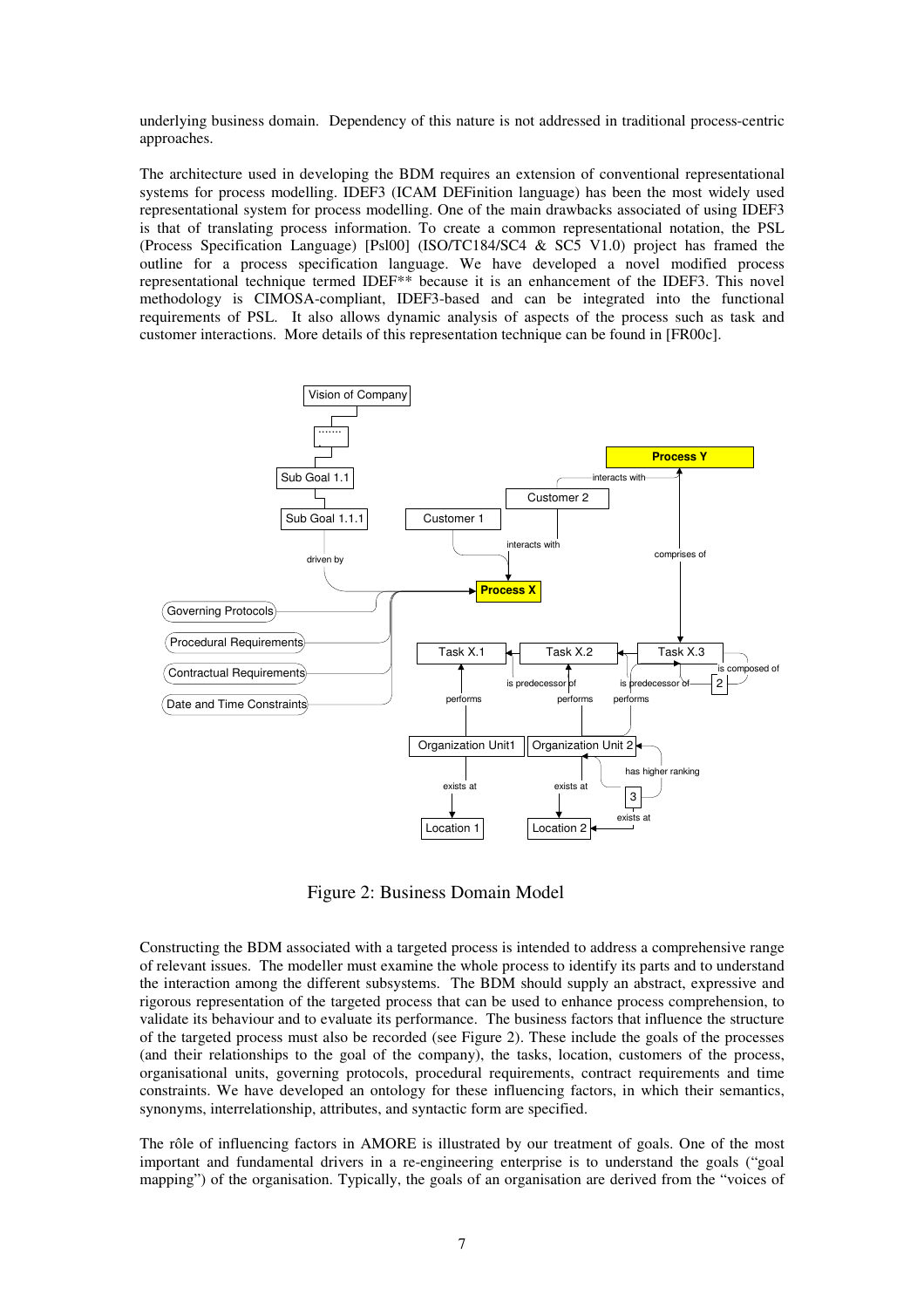underlying business domain. Dependency of this nature is not addressed in traditional process-centric approaches.

The architecture used in developing the BDM requires an extension of conventional representational systems for process modelling. IDEF3 (ICAM DEFinition language) has been the most widely used representational system for process modelling. One of the main drawbacks associated of using IDEF3 is that of translating process information. To create a common representational notation, the PSL (Process Specification Language) [Psl00] (ISO/TC184/SC4 & SC5 V1.0) project has framed the outline for a process specification language. We have developed a novel modified process representational technique termed IDEF\*\* because it is an enhancement of the IDEF3. This novel methodology is CIMOSA-compliant, IDEF3-based and can be integrated into the functional requirements of PSL. It also allows dynamic analysis of aspects of the process such as task and customer interactions. More details of this representation technique can be found in [FR00c].



Figure 2: Business Domain Model

Constructing the BDM associated with a targeted process is intended to address a comprehensive range of relevant issues. The modeller must examine the whole process to identify its parts and to understand the interaction among the different subsystems. The BDM should supply an abstract, expressive and rigorous representation of the targeted process that can be used to enhance process comprehension, to validate its behaviour and to evaluate its performance. The business factors that influence the structure of the targeted process must also be recorded (see Figure 2). These include the goals of the processes (and their relationships to the goal of the company), the tasks, location, customers of the process, organisational units, governing protocols, procedural requirements, contract requirements and time constraints. We have developed an ontology for these influencing factors, in which their semantics, synonyms, interrelationship, attributes, and syntactic form are specified.

The rôle of influencing factors in AMORE is illustrated by our treatment of goals. One of the most important and fundamental drivers in a re-engineering enterprise is to understand the goals ("goal mapping") of the organisation. Typically, the goals of an organisation are derived from the "voices of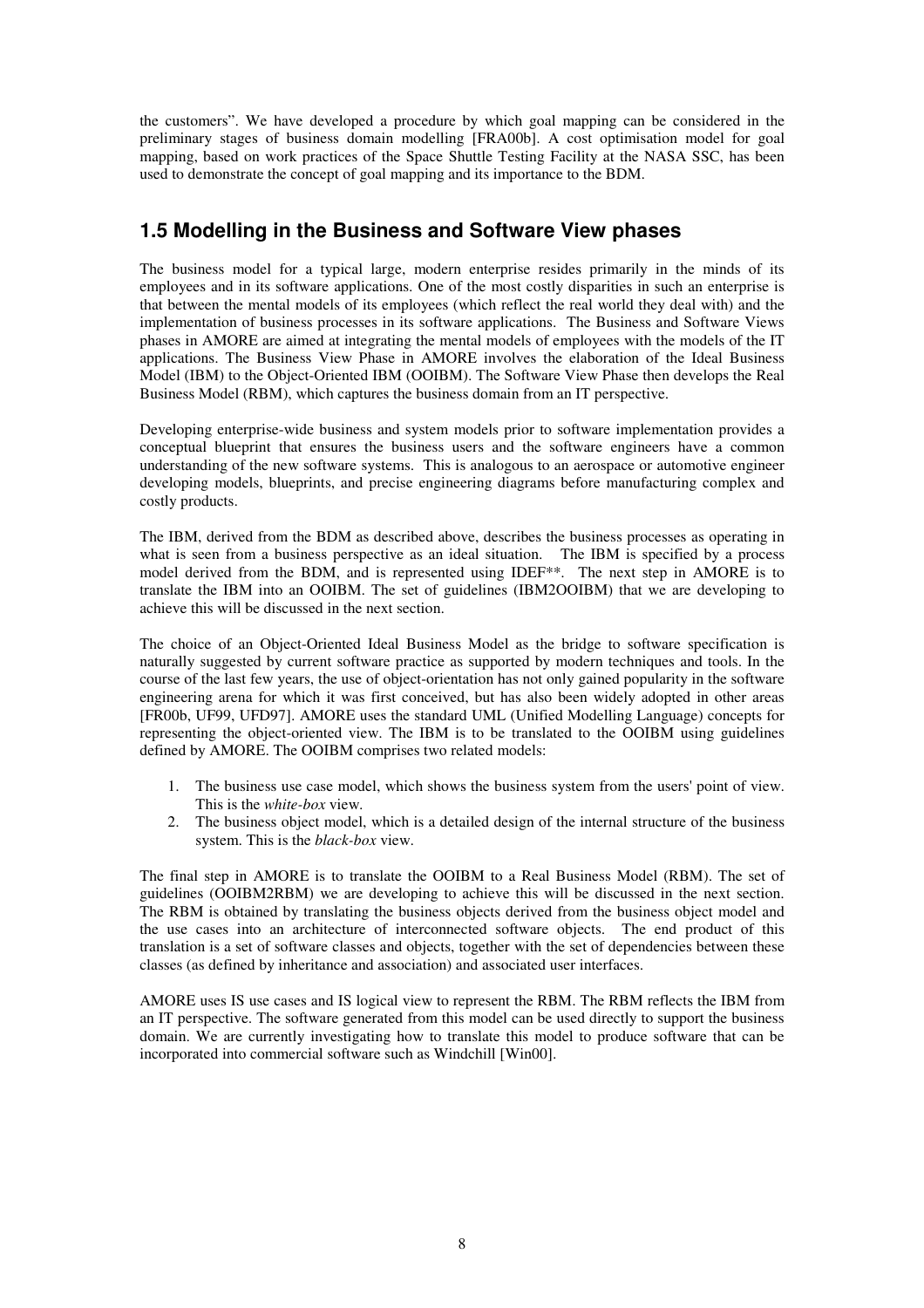the customers". We have developed a procedure by which goal mapping can be considered in the preliminary stages of business domain modelling [FRA00b]. A cost optimisation model for goal mapping, based on work practices of the Space Shuttle Testing Facility at the NASA SSC, has been used to demonstrate the concept of goal mapping and its importance to the BDM.

### **1.5 Modelling in the Business and Software View phases**

The business model for a typical large, modern enterprise resides primarily in the minds of its employees and in its software applications. One of the most costly disparities in such an enterprise is that between the mental models of its employees (which reflect the real world they deal with) and the implementation of business processes in its software applications. The Business and Software Views phases in AMORE are aimed at integrating the mental models of employees with the models of the IT applications. The Business View Phase in AMORE involves the elaboration of the Ideal Business Model (IBM) to the Object-Oriented IBM (OOIBM). The Software View Phase then develops the Real Business Model (RBM), which captures the business domain from an IT perspective.

Developing enterprise-wide business and system models prior to software implementation provides a conceptual blueprint that ensures the business users and the software engineers have a common understanding of the new software systems. This is analogous to an aerospace or automotive engineer developing models, blueprints, and precise engineering diagrams before manufacturing complex and costly products.

The IBM, derived from the BDM as described above, describes the business processes as operating in what is seen from a business perspective as an ideal situation. The IBM is specified by a process model derived from the BDM, and is represented using IDEF\*\*. The next step in AMORE is to translate the IBM into an OOIBM. The set of guidelines (IBM2OOIBM) that we are developing to achieve this will be discussed in the next section.

The choice of an Object-Oriented Ideal Business Model as the bridge to software specification is naturally suggested by current software practice as supported by modern techniques and tools. In the course of the last few years, the use of object-orientation has not only gained popularity in the software engineering arena for which it was first conceived, but has also been widely adopted in other areas [FR00b, UF99, UFD97]. AMORE uses the standard UML (Unified Modelling Language) concepts for representing the object-oriented view. The IBM is to be translated to the OOIBM using guidelines defined by AMORE. The OOIBM comprises two related models:

- 1. The business use case model, which shows the business system from the users' point of view. This is the *white-box* view.
- 2. The business object model, which is a detailed design of the internal structure of the business system. This is the *black-box* view.

The final step in AMORE is to translate the OOIBM to a Real Business Model (RBM). The set of guidelines (OOIBM2RBM) we are developing to achieve this will be discussed in the next section. The RBM is obtained by translating the business objects derived from the business object model and the use cases into an architecture of interconnected software objects. The end product of this translation is a set of software classes and objects, together with the set of dependencies between these classes (as defined by inheritance and association) and associated user interfaces.

AMORE uses IS use cases and IS logical view to represent the RBM. The RBM reflects the IBM from an IT perspective. The software generated from this model can be used directly to support the business domain. We are currently investigating how to translate this model to produce software that can be incorporated into commercial software such as Windchill [Win00].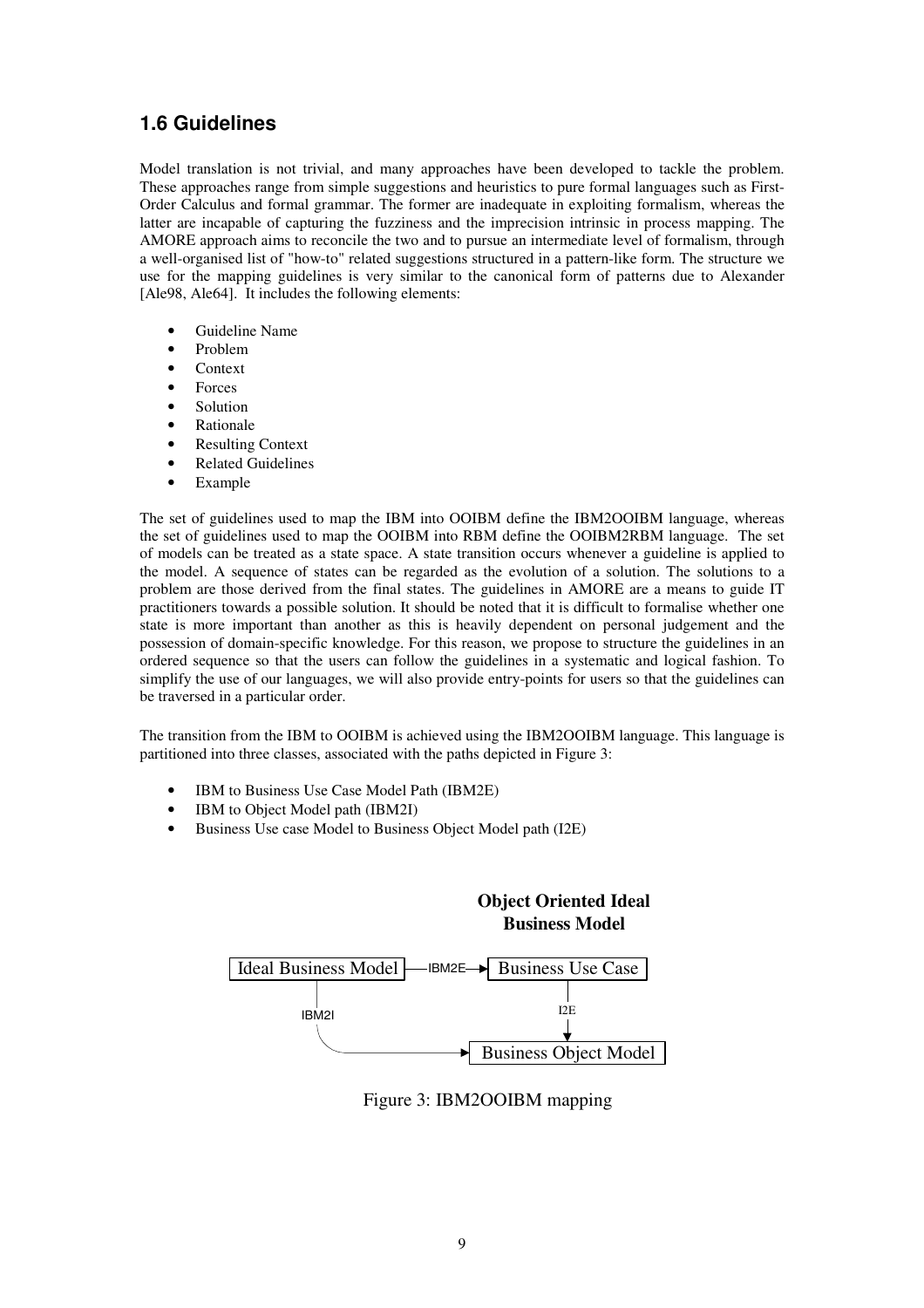### **1.6 Guidelines**

Model translation is not trivial, and many approaches have been developed to tackle the problem. These approaches range from simple suggestions and heuristics to pure formal languages such as First-Order Calculus and formal grammar. The former are inadequate in exploiting formalism, whereas the latter are incapable of capturing the fuzziness and the imprecision intrinsic in process mapping. The AMORE approach aims to reconcile the two and to pursue an intermediate level of formalism, through a well-organised list of "how-to" related suggestions structured in a pattern-like form. The structure we use for the mapping guidelines is very similar to the canonical form of patterns due to Alexander [Ale98, Ale64]. It includes the following elements:

- Guideline Name
- Problem
- Context
- **Forces**
- Solution
- **Rationale**
- **Resulting Context**
- Related Guidelines
- Example

The set of guidelines used to map the IBM into OOIBM define the IBM2OOIBM language, whereas the set of guidelines used to map the OOIBM into RBM define the OOIBM2RBM language. The set of models can be treated as a state space. A state transition occurs whenever a guideline is applied to the model. A sequence of states can be regarded as the evolution of a solution. The solutions to a problem are those derived from the final states. The guidelines in AMORE are a means to guide IT practitioners towards a possible solution. It should be noted that it is difficult to formalise whether one state is more important than another as this is heavily dependent on personal judgement and the possession of domain-specific knowledge. For this reason, we propose to structure the guidelines in an ordered sequence so that the users can follow the guidelines in a systematic and logical fashion. To simplify the use of our languages, we will also provide entry-points for users so that the guidelines can be traversed in a particular order.

The transition from the IBM to OOIBM is achieved using the IBM2OOIBM language. This language is partitioned into three classes, associated with the paths depicted in Figure 3:

- IBM to Business Use Case Model Path (IBM2E)
- IBM to Object Model path (IBM2I)
- Business Use case Model to Business Object Model path (I2E)

### **Object Oriented Ideal Business Model**



Figure 3: IBM2OOIBM mapping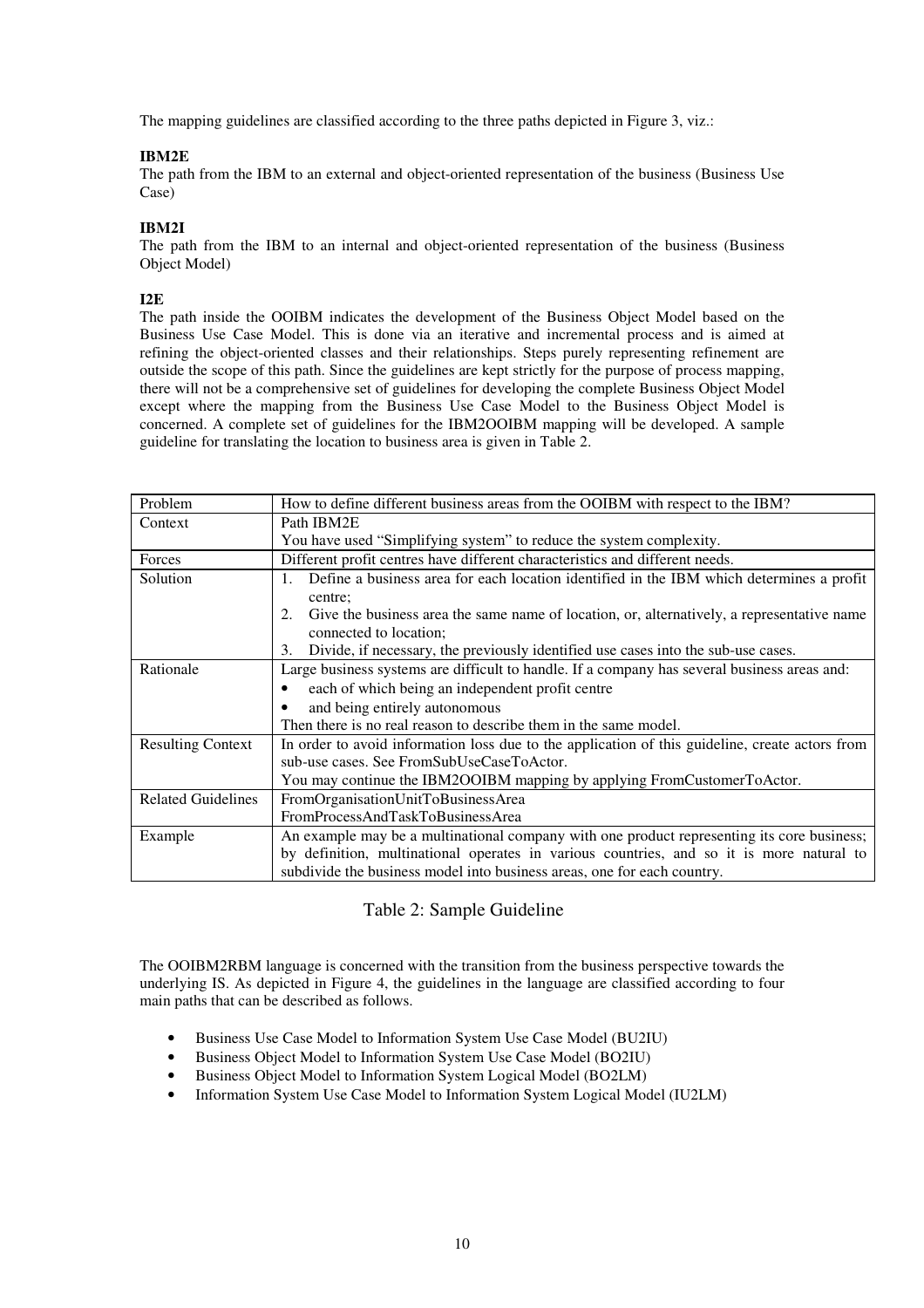The mapping guidelines are classified according to the three paths depicted in Figure 3, viz.:

#### **IBM2E**

The path from the IBM to an external and object-oriented representation of the business (Business Use Case)

#### **IBM2I**

The path from the IBM to an internal and object-oriented representation of the business (Business Object Model)

#### **I2E**

The path inside the OOIBM indicates the development of the Business Object Model based on the Business Use Case Model. This is done via an iterative and incremental process and is aimed at refining the object-oriented classes and their relationships. Steps purely representing refinement are outside the scope of this path. Since the guidelines are kept strictly for the purpose of process mapping, there will not be a comprehensive set of guidelines for developing the complete Business Object Model except where the mapping from the Business Use Case Model to the Business Object Model is concerned. A complete set of guidelines for the IBM2OOIBM mapping will be developed. A sample guideline for translating the location to business area is given in Table 2.

| Problem                   | How to define different business areas from the OOIBM with respect to the IBM?                                             |
|---------------------------|----------------------------------------------------------------------------------------------------------------------------|
| Context                   | Path IBM2E                                                                                                                 |
|                           | You have used "Simplifying system" to reduce the system complexity.                                                        |
| Forces                    | Different profit centres have different characteristics and different needs.                                               |
| Solution                  | Define a business area for each location identified in the IBM which determines a profit<br>$1_{\cdot}$<br>centre;         |
|                           | Give the business area the same name of location, or, alternatively, a representative name<br>2.<br>connected to location; |
|                           | Divide, if necessary, the previously identified use cases into the sub-use cases.<br>3.                                    |
| Rationale                 | Large business systems are difficult to handle. If a company has several business areas and:                               |
|                           | each of which being an independent profit centre                                                                           |
|                           | and being entirely autonomous                                                                                              |
|                           | Then there is no real reason to describe them in the same model.                                                           |
| <b>Resulting Context</b>  | In order to avoid information loss due to the application of this guideline, create actors from                            |
|                           | sub-use cases. See FromSubUseCaseToActor.                                                                                  |
|                           | You may continue the IBM2OOIBM mapping by applying FromCustomerToActor.                                                    |
| <b>Related Guidelines</b> | FromOrganisationUnitToBusinessArea                                                                                         |
|                           | FromProcessAndTaskToBusinessArea                                                                                           |
| Example                   | An example may be a multinational company with one product representing its core business;                                 |
|                           | by definition, multinational operates in various countries, and so it is more natural to                                   |
|                           | subdivide the business model into business areas, one for each country.                                                    |

#### Table 2: Sample Guideline

The OOIBM2RBM language is concerned with the transition from the business perspective towards the underlying IS. As depicted in Figure 4, the guidelines in the language are classified according to four main paths that can be described as follows.

- Business Use Case Model to Information System Use Case Model (BU2IU)
- Business Object Model to Information System Use Case Model (BO2IU)
- Business Object Model to Information System Logical Model (BO2LM)
- Information System Use Case Model to Information System Logical Model (IU2LM)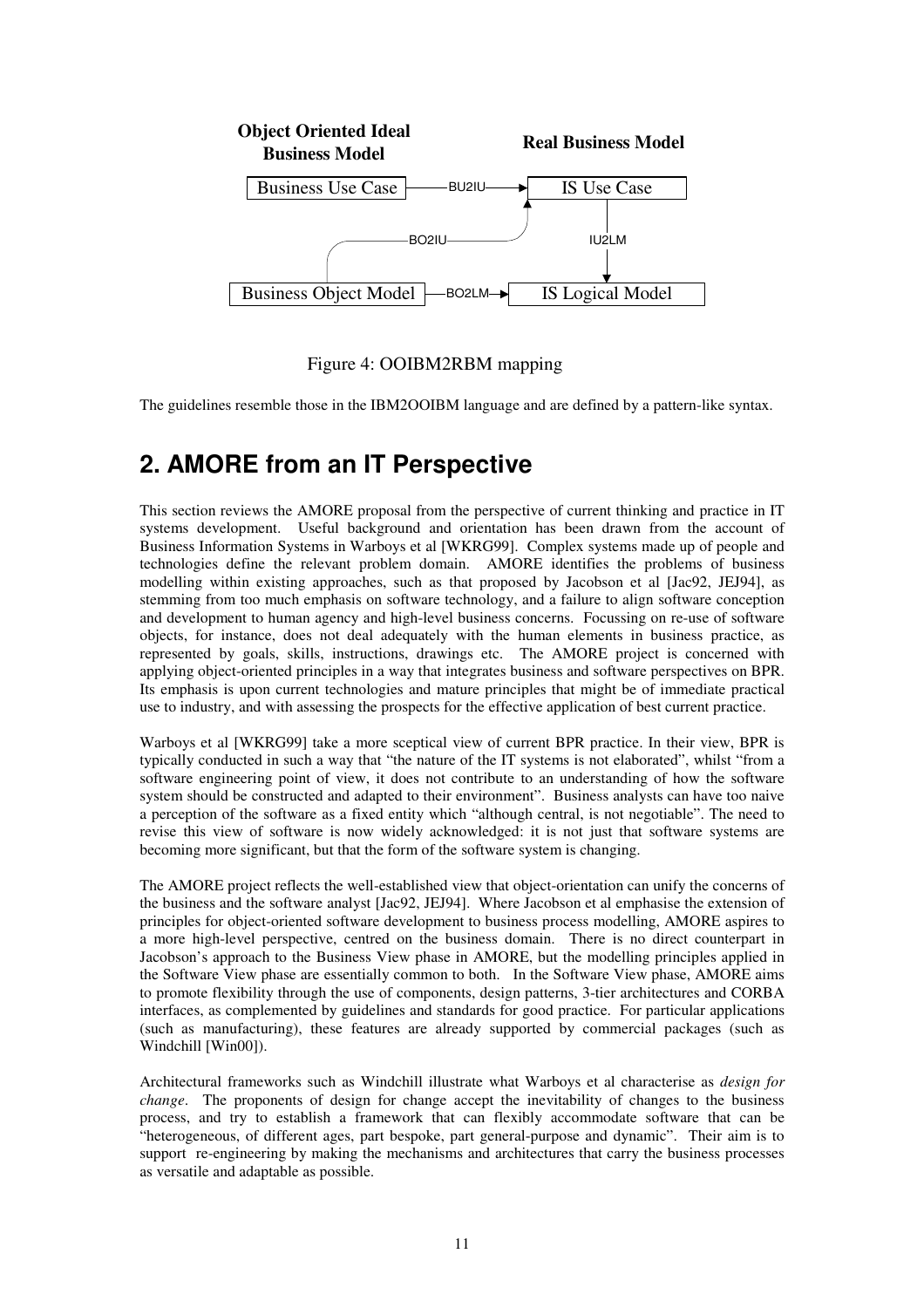

Figure 4: OOIBM2RBM mapping

The guidelines resemble those in the IBM2OOIBM language and are defined by a pattern-like syntax.

# **2. AMORE from an IT Perspective**

This section reviews the AMORE proposal from the perspective of current thinking and practice in IT systems development. Useful background and orientation has been drawn from the account of Business Information Systems in Warboys et al [WKRG99]. Complex systems made up of people and technologies define the relevant problem domain. AMORE identifies the problems of business modelling within existing approaches, such as that proposed by Jacobson et al [Jac92, JEJ94], as stemming from too much emphasis on software technology, and a failure to align software conception and development to human agency and high-level business concerns. Focussing on re-use of software objects, for instance, does not deal adequately with the human elements in business practice, as represented by goals, skills, instructions, drawings etc. The AMORE project is concerned with applying object-oriented principles in a way that integrates business and software perspectives on BPR. Its emphasis is upon current technologies and mature principles that might be of immediate practical use to industry, and with assessing the prospects for the effective application of best current practice.

Warboys et al [WKRG99] take a more sceptical view of current BPR practice. In their view, BPR is typically conducted in such a way that "the nature of the IT systems is not elaborated", whilst "from a software engineering point of view, it does not contribute to an understanding of how the software system should be constructed and adapted to their environment". Business analysts can have too naive a perception of the software as a fixed entity which "although central, is not negotiable". The need to revise this view of software is now widely acknowledged: it is not just that software systems are becoming more significant, but that the form of the software system is changing.

The AMORE project reflects the well-established view that object-orientation can unify the concerns of the business and the software analyst [Jac92, JEJ94]. Where Jacobson et al emphasise the extension of principles for object-oriented software development to business process modelling, AMORE aspires to a more high-level perspective, centred on the business domain. There is no direct counterpart in Jacobson's approach to the Business View phase in AMORE, but the modelling principles applied in the Software View phase are essentially common to both. In the Software View phase, AMORE aims to promote flexibility through the use of components, design patterns, 3-tier architectures and CORBA interfaces, as complemented by guidelines and standards for good practice. For particular applications (such as manufacturing), these features are already supported by commercial packages (such as Windchill [Win00]).

Architectural frameworks such as Windchill illustrate what Warboys et al characterise as *design for change*. The proponents of design for change accept the inevitability of changes to the business process, and try to establish a framework that can flexibly accommodate software that can be "heterogeneous, of different ages, part bespoke, part general-purpose and dynamic". Their aim is to support re-engineering by making the mechanisms and architectures that carry the business processes as versatile and adaptable as possible.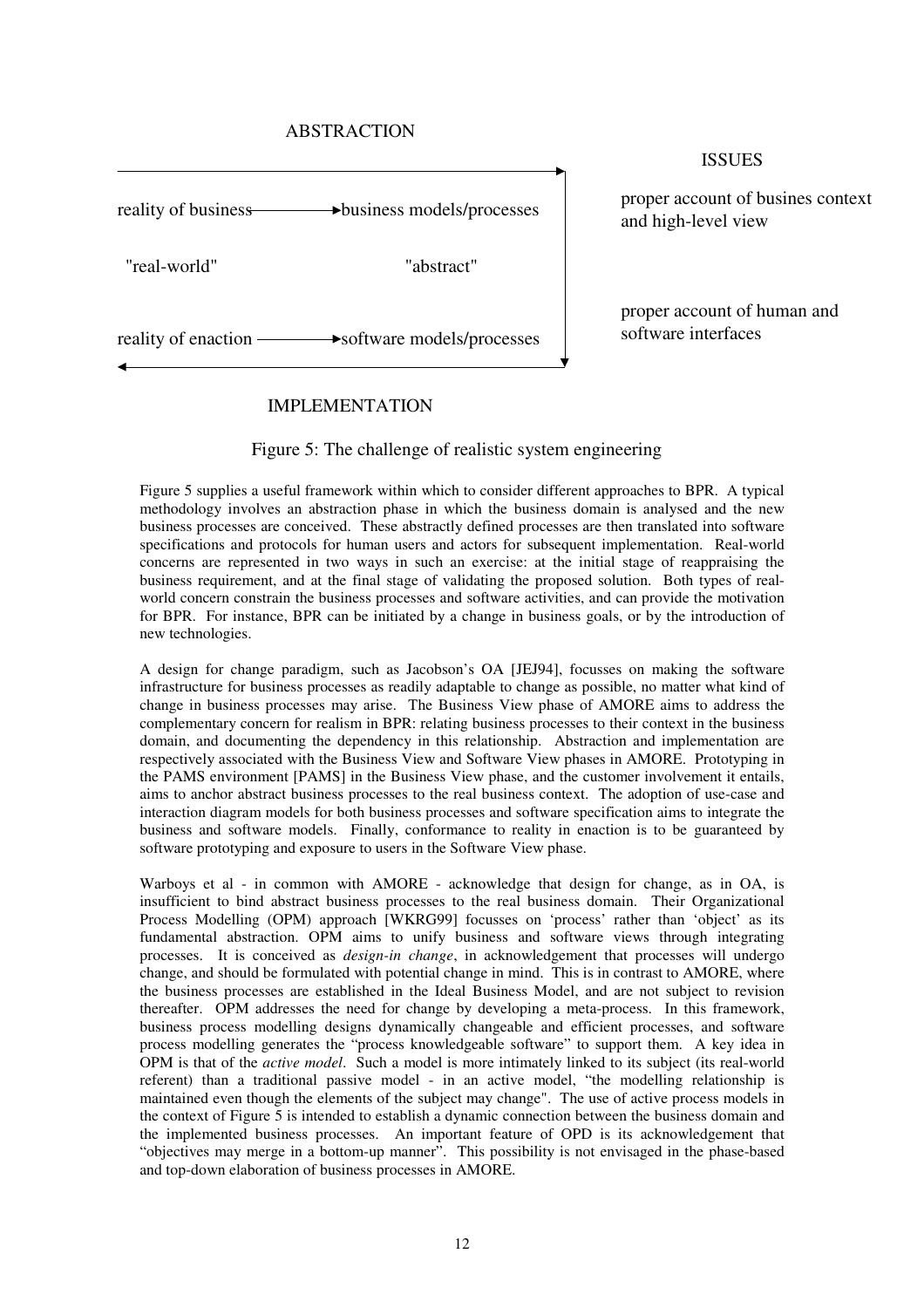### ABSTRACTION



### ISSUES

proper account of busines context and high-level view

proper account of human and software interfaces

### IMPLEMENTATION

#### Figure 5: The challenge of realistic system engineering

Figure 5 supplies a useful framework within which to consider different approaches to BPR. A typical methodology involves an abstraction phase in which the business domain is analysed and the new business processes are conceived. These abstractly defined processes are then translated into software specifications and protocols for human users and actors for subsequent implementation. Real-world concerns are represented in two ways in such an exercise: at the initial stage of reappraising the business requirement, and at the final stage of validating the proposed solution. Both types of realworld concern constrain the business processes and software activities, and can provide the motivation for BPR. For instance, BPR can be initiated by a change in business goals, or by the introduction of new technologies.

A design for change paradigm, such as Jacobson's OA [JEJ94], focusses on making the software infrastructure for business processes as readily adaptable to change as possible, no matter what kind of change in business processes may arise. The Business View phase of AMORE aims to address the complementary concern for realism in BPR: relating business processes to their context in the business domain, and documenting the dependency in this relationship. Abstraction and implementation are respectively associated with the Business View and Software View phases in AMORE. Prototyping in the PAMS environment [PAMS] in the Business View phase, and the customer involvement it entails, aims to anchor abstract business processes to the real business context. The adoption of use-case and interaction diagram models for both business processes and software specification aims to integrate the business and software models. Finally, conformance to reality in enaction is to be guaranteed by software prototyping and exposure to users in the Software View phase.

Warboys et al - in common with AMORE - acknowledge that design for change, as in OA, is insufficient to bind abstract business processes to the real business domain. Their Organizational Process Modelling (OPM) approach [WKRG99] focusses on 'process' rather than 'object' as its fundamental abstraction. OPM aims to unify business and software views through integrating processes. It is conceived as *design-in change*, in acknowledgement that processes will undergo change, and should be formulated with potential change in mind. This is in contrast to AMORE, where the business processes are established in the Ideal Business Model, and are not subject to revision thereafter. OPM addresses the need for change by developing a meta-process. In this framework, business process modelling designs dynamically changeable and efficient processes, and software process modelling generates the "process knowledgeable software" to support them. A key idea in OPM is that of the *active model*. Such a model is more intimately linked to its subject (its real-world referent) than a traditional passive model - in an active model, "the modelling relationship is maintained even though the elements of the subject may change". The use of active process models in the context of Figure 5 is intended to establish a dynamic connection between the business domain and the implemented business processes. An important feature of OPD is its acknowledgement that "objectives may merge in a bottom-up manner". This possibility is not envisaged in the phase-based and top-down elaboration of business processes in AMORE.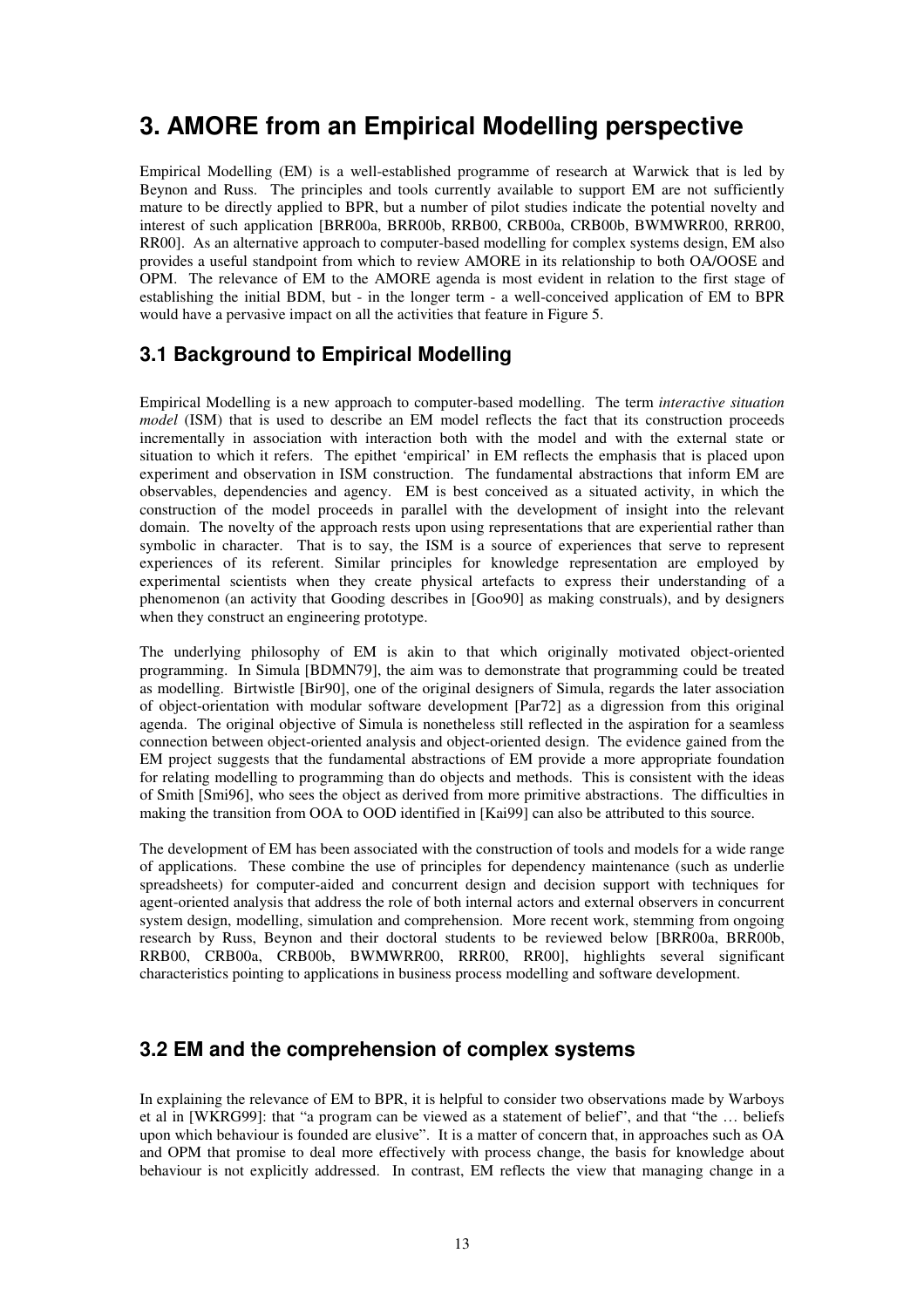# **3. AMORE from an Empirical Modelling perspective**

Empirical Modelling (EM) is a well-established programme of research at Warwick that is led by Beynon and Russ. The principles and tools currently available to support EM are not sufficiently mature to be directly applied to BPR, but a number of pilot studies indicate the potential novelty and interest of such application [BRR00a, BRR00b, RRB00, CRB00a, CRB00b, BWMWRR00, RRR00, RR00]. As an alternative approach to computer-based modelling for complex systems design, EM also provides a useful standpoint from which to review AMORE in its relationship to both OA/OOSE and OPM. The relevance of EM to the AMORE agenda is most evident in relation to the first stage of establishing the initial BDM, but - in the longer term - a well-conceived application of EM to BPR would have a pervasive impact on all the activities that feature in Figure 5.

### **3.1 Background to Empirical Modelling**

Empirical Modelling is a new approach to computer-based modelling. The term *interactive situation model* (ISM) that is used to describe an EM model reflects the fact that its construction proceeds incrementally in association with interaction both with the model and with the external state or situation to which it refers. The epithet 'empirical' in EM reflects the emphasis that is placed upon experiment and observation in ISM construction. The fundamental abstractions that inform EM are observables, dependencies and agency. EM is best conceived as a situated activity, in which the construction of the model proceeds in parallel with the development of insight into the relevant domain. The novelty of the approach rests upon using representations that are experiential rather than symbolic in character. That is to say, the ISM is a source of experiences that serve to represent experiences of its referent. Similar principles for knowledge representation are employed by experimental scientists when they create physical artefacts to express their understanding of a phenomenon (an activity that Gooding describes in [Goo90] as making construals), and by designers when they construct an engineering prototype.

The underlying philosophy of EM is akin to that which originally motivated object-oriented programming. In Simula [BDMN79], the aim was to demonstrate that programming could be treated as modelling. Birtwistle [Bir90], one of the original designers of Simula, regards the later association of object-orientation with modular software development [Par72] as a digression from this original agenda. The original objective of Simula is nonetheless still reflected in the aspiration for a seamless connection between object-oriented analysis and object-oriented design. The evidence gained from the EM project suggests that the fundamental abstractions of EM provide a more appropriate foundation for relating modelling to programming than do objects and methods. This is consistent with the ideas of Smith [Smi96], who sees the object as derived from more primitive abstractions. The difficulties in making the transition from OOA to OOD identified in [Kai99] can also be attributed to this source.

The development of EM has been associated with the construction of tools and models for a wide range of applications. These combine the use of principles for dependency maintenance (such as underlie spreadsheets) for computer-aided and concurrent design and decision support with techniques for agent-oriented analysis that address the role of both internal actors and external observers in concurrent system design, modelling, simulation and comprehension. More recent work, stemming from ongoing research by Russ, Beynon and their doctoral students to be reviewed below [BRR00a, BRR00b, RRB00, CRB00a, CRB00b, BWMWRR00, RRR00, RR00], highlights several significant characteristics pointing to applications in business process modelling and software development.

### **3.2 EM and the comprehension of complex systems**

In explaining the relevance of EM to BPR, it is helpful to consider two observations made by Warboys et al in [WKRG99]: that "a program can be viewed as a statement of belief", and that "the … beliefs upon which behaviour is founded are elusive". It is a matter of concern that, in approaches such as OA and OPM that promise to deal more effectively with process change, the basis for knowledge about behaviour is not explicitly addressed. In contrast, EM reflects the view that managing change in a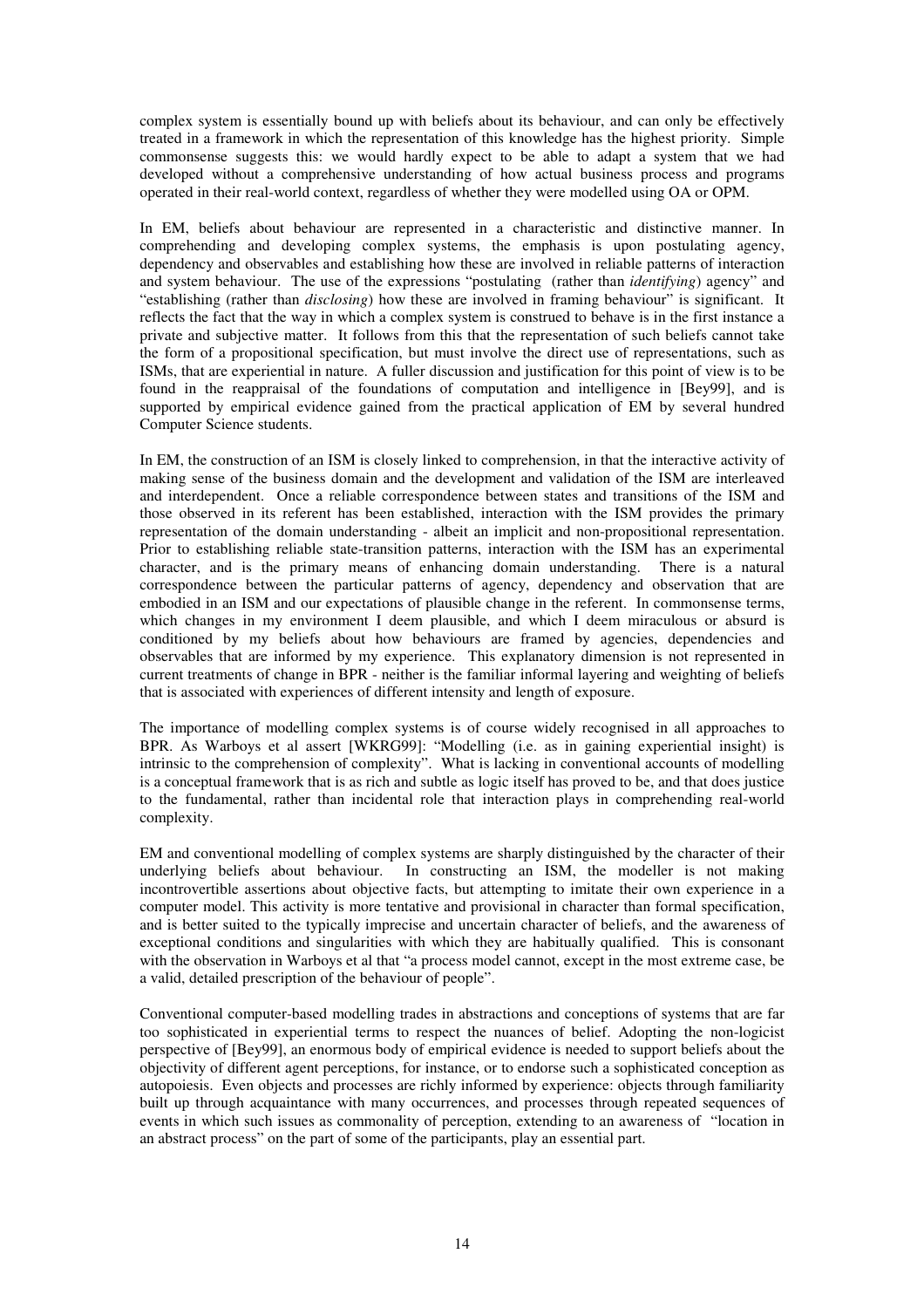complex system is essentially bound up with beliefs about its behaviour, and can only be effectively treated in a framework in which the representation of this knowledge has the highest priority. Simple commonsense suggests this: we would hardly expect to be able to adapt a system that we had developed without a comprehensive understanding of how actual business process and programs operated in their real-world context, regardless of whether they were modelled using OA or OPM.

In EM, beliefs about behaviour are represented in a characteristic and distinctive manner. In comprehending and developing complex systems, the emphasis is upon postulating agency, dependency and observables and establishing how these are involved in reliable patterns of interaction and system behaviour. The use of the expressions "postulating (rather than *identifying*) agency" and "establishing (rather than *disclosing*) how these are involved in framing behaviour" is significant. It reflects the fact that the way in which a complex system is construed to behave is in the first instance a private and subjective matter. It follows from this that the representation of such beliefs cannot take the form of a propositional specification, but must involve the direct use of representations, such as ISMs, that are experiential in nature. A fuller discussion and justification for this point of view is to be found in the reappraisal of the foundations of computation and intelligence in [Bey99], and is supported by empirical evidence gained from the practical application of EM by several hundred Computer Science students.

In EM, the construction of an ISM is closely linked to comprehension, in that the interactive activity of making sense of the business domain and the development and validation of the ISM are interleaved and interdependent. Once a reliable correspondence between states and transitions of the ISM and those observed in its referent has been established, interaction with the ISM provides the primary representation of the domain understanding - albeit an implicit and non-propositional representation. Prior to establishing reliable state-transition patterns, interaction with the ISM has an experimental character, and is the primary means of enhancing domain understanding. There is a natural correspondence between the particular patterns of agency, dependency and observation that are embodied in an ISM and our expectations of plausible change in the referent. In commonsense terms, which changes in my environment I deem plausible, and which I deem miraculous or absurd is conditioned by my beliefs about how behaviours are framed by agencies, dependencies and observables that are informed by my experience. This explanatory dimension is not represented in current treatments of change in BPR - neither is the familiar informal layering and weighting of beliefs that is associated with experiences of different intensity and length of exposure.

The importance of modelling complex systems is of course widely recognised in all approaches to BPR. As Warboys et al assert [WKRG99]: "Modelling (i.e. as in gaining experiential insight) is intrinsic to the comprehension of complexity". What is lacking in conventional accounts of modelling is a conceptual framework that is as rich and subtle as logic itself has proved to be, and that does justice to the fundamental, rather than incidental role that interaction plays in comprehending real-world complexity.

EM and conventional modelling of complex systems are sharply distinguished by the character of their underlying beliefs about behaviour. In constructing an ISM, the modeller is not making incontrovertible assertions about objective facts, but attempting to imitate their own experience in a computer model. This activity is more tentative and provisional in character than formal specification, and is better suited to the typically imprecise and uncertain character of beliefs, and the awareness of exceptional conditions and singularities with which they are habitually qualified. This is consonant with the observation in Warboys et al that "a process model cannot, except in the most extreme case, be a valid, detailed prescription of the behaviour of people".

Conventional computer-based modelling trades in abstractions and conceptions of systems that are far too sophisticated in experiential terms to respect the nuances of belief. Adopting the non-logicist perspective of [Bey99], an enormous body of empirical evidence is needed to support beliefs about the objectivity of different agent perceptions, for instance, or to endorse such a sophisticated conception as autopoiesis. Even objects and processes are richly informed by experience: objects through familiarity built up through acquaintance with many occurrences, and processes through repeated sequences of events in which such issues as commonality of perception, extending to an awareness of "location in an abstract process" on the part of some of the participants, play an essential part.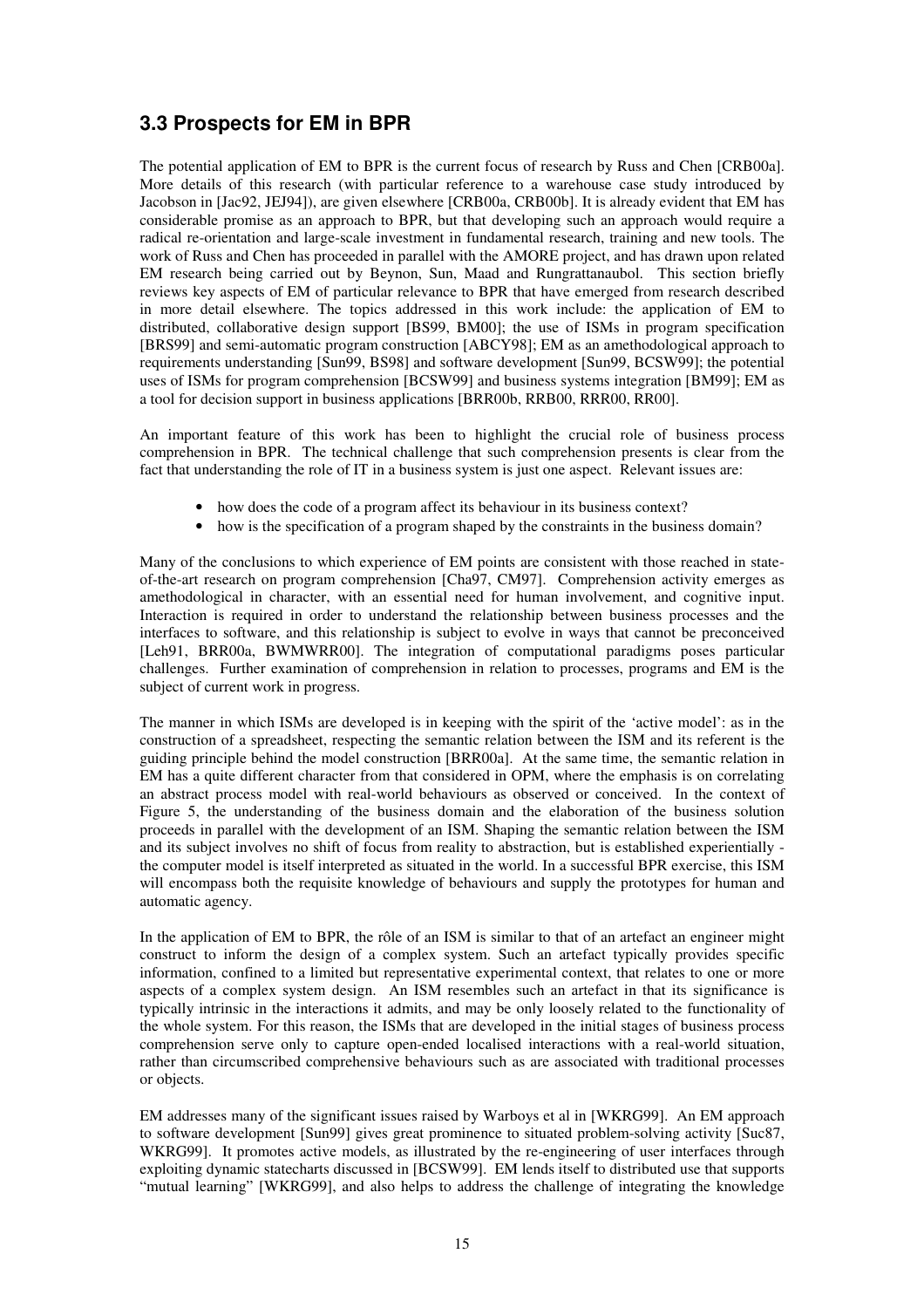### **3.3 Prospects for EM in BPR**

The potential application of EM to BPR is the current focus of research by Russ and Chen [CRB00a]. More details of this research (with particular reference to a warehouse case study introduced by Jacobson in [Jac92, JEJ94]), are given elsewhere [CRB00a, CRB00b]. It is already evident that EM has considerable promise as an approach to BPR, but that developing such an approach would require a radical re-orientation and large-scale investment in fundamental research, training and new tools. The work of Russ and Chen has proceeded in parallel with the AMORE project, and has drawn upon related EM research being carried out by Beynon, Sun, Maad and Rungrattanaubol. This section briefly reviews key aspects of EM of particular relevance to BPR that have emerged from research described in more detail elsewhere. The topics addressed in this work include: the application of EM to distributed, collaborative design support [BS99, BM00]; the use of ISMs in program specification [BRS99] and semi-automatic program construction [ABCY98]; EM as an amethodological approach to requirements understanding [Sun99, BS98] and software development [Sun99, BCSW99]; the potential uses of ISMs for program comprehension [BCSW99] and business systems integration [BM99]; EM as a tool for decision support in business applications [BRR00b, RRB00, RRR00, RR00].

An important feature of this work has been to highlight the crucial role of business process comprehension in BPR. The technical challenge that such comprehension presents is clear from the fact that understanding the role of IT in a business system is just one aspect. Relevant issues are:

- how does the code of a program affect its behaviour in its business context?
- how is the specification of a program shaped by the constraints in the business domain?

Many of the conclusions to which experience of EM points are consistent with those reached in stateof-the-art research on program comprehension [Cha97, CM97]. Comprehension activity emerges as amethodological in character, with an essential need for human involvement, and cognitive input. Interaction is required in order to understand the relationship between business processes and the interfaces to software, and this relationship is subject to evolve in ways that cannot be preconceived [Leh91, BRR00a, BWMWRR00]. The integration of computational paradigms poses particular challenges. Further examination of comprehension in relation to processes, programs and EM is the subject of current work in progress.

The manner in which ISMs are developed is in keeping with the spirit of the 'active model': as in the construction of a spreadsheet, respecting the semantic relation between the ISM and its referent is the guiding principle behind the model construction [BRR00a]. At the same time, the semantic relation in EM has a quite different character from that considered in OPM, where the emphasis is on correlating an abstract process model with real-world behaviours as observed or conceived. In the context of Figure 5, the understanding of the business domain and the elaboration of the business solution proceeds in parallel with the development of an ISM. Shaping the semantic relation between the ISM and its subject involves no shift of focus from reality to abstraction, but is established experientially the computer model is itself interpreted as situated in the world. In a successful BPR exercise, this ISM will encompass both the requisite knowledge of behaviours and supply the prototypes for human and automatic agency.

In the application of EM to BPR, the rôle of an ISM is similar to that of an artefact an engineer might construct to inform the design of a complex system. Such an artefact typically provides specific information, confined to a limited but representative experimental context, that relates to one or more aspects of a complex system design. An ISM resembles such an artefact in that its significance is typically intrinsic in the interactions it admits, and may be only loosely related to the functionality of the whole system. For this reason, the ISMs that are developed in the initial stages of business process comprehension serve only to capture open-ended localised interactions with a real-world situation, rather than circumscribed comprehensive behaviours such as are associated with traditional processes or objects.

EM addresses many of the significant issues raised by Warboys et al in [WKRG99]. An EM approach to software development [Sun99] gives great prominence to situated problem-solving activity [Suc87, WKRG99]. It promotes active models, as illustrated by the re-engineering of user interfaces through exploiting dynamic statecharts discussed in [BCSW99]. EM lends itself to distributed use that supports "mutual learning" [WKRG99], and also helps to address the challenge of integrating the knowledge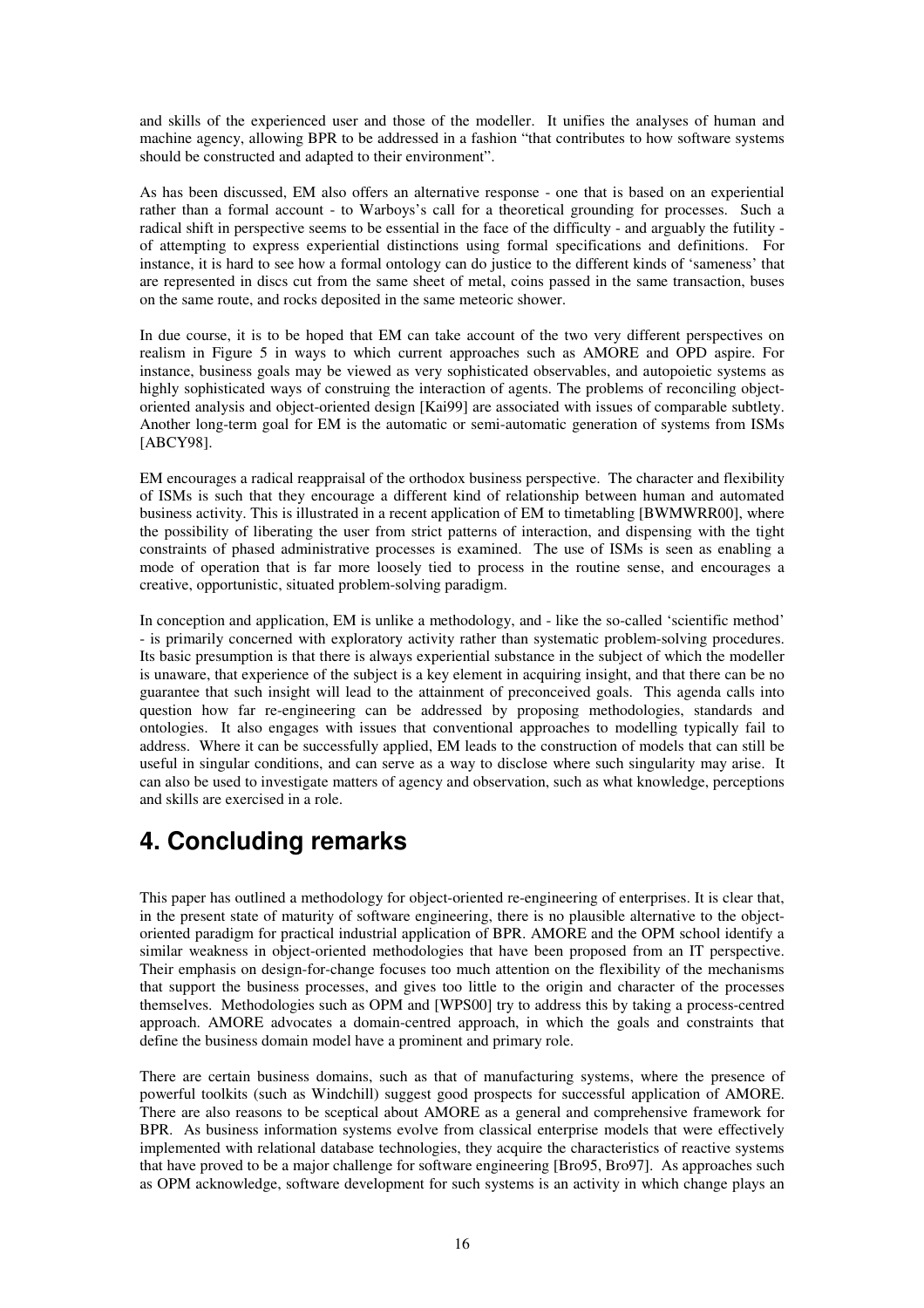and skills of the experienced user and those of the modeller. It unifies the analyses of human and machine agency, allowing BPR to be addressed in a fashion "that contributes to how software systems should be constructed and adapted to their environment".

As has been discussed, EM also offers an alternative response - one that is based on an experiential rather than a formal account - to Warboys's call for a theoretical grounding for processes. Such a radical shift in perspective seems to be essential in the face of the difficulty - and arguably the futility of attempting to express experiential distinctions using formal specifications and definitions. For instance, it is hard to see how a formal ontology can do justice to the different kinds of 'sameness' that are represented in discs cut from the same sheet of metal, coins passed in the same transaction, buses on the same route, and rocks deposited in the same meteoric shower.

In due course, it is to be hoped that EM can take account of the two very different perspectives on realism in Figure 5 in ways to which current approaches such as AMORE and OPD aspire. For instance, business goals may be viewed as very sophisticated observables, and autopoietic systems as highly sophisticated ways of construing the interaction of agents. The problems of reconciling objectoriented analysis and object-oriented design [Kai99] are associated with issues of comparable subtlety. Another long-term goal for EM is the automatic or semi-automatic generation of systems from ISMs [ABCY98].

EM encourages a radical reappraisal of the orthodox business perspective. The character and flexibility of ISMs is such that they encourage a different kind of relationship between human and automated business activity. This is illustrated in a recent application of EM to timetabling [BWMWRR00], where the possibility of liberating the user from strict patterns of interaction, and dispensing with the tight constraints of phased administrative processes is examined. The use of ISMs is seen as enabling a mode of operation that is far more loosely tied to process in the routine sense, and encourages a creative, opportunistic, situated problem-solving paradigm.

In conception and application, EM is unlike a methodology, and - like the so-called 'scientific method' - is primarily concerned with exploratory activity rather than systematic problem-solving procedures. Its basic presumption is that there is always experiential substance in the subject of which the modeller is unaware, that experience of the subject is a key element in acquiring insight, and that there can be no guarantee that such insight will lead to the attainment of preconceived goals. This agenda calls into question how far re-engineering can be addressed by proposing methodologies, standards and ontologies. It also engages with issues that conventional approaches to modelling typically fail to address. Where it can be successfully applied, EM leads to the construction of models that can still be useful in singular conditions, and can serve as a way to disclose where such singularity may arise. It can also be used to investigate matters of agency and observation, such as what knowledge, perceptions and skills are exercised in a role.

# **4. Concluding remarks**

This paper has outlined a methodology for object-oriented re-engineering of enterprises. It is clear that, in the present state of maturity of software engineering, there is no plausible alternative to the objectoriented paradigm for practical industrial application of BPR. AMORE and the OPM school identify a similar weakness in object-oriented methodologies that have been proposed from an IT perspective. Their emphasis on design-for-change focuses too much attention on the flexibility of the mechanisms that support the business processes, and gives too little to the origin and character of the processes themselves. Methodologies such as OPM and [WPS00] try to address this by taking a process-centred approach. AMORE advocates a domain-centred approach, in which the goals and constraints that define the business domain model have a prominent and primary role.

There are certain business domains, such as that of manufacturing systems, where the presence of powerful toolkits (such as Windchill) suggest good prospects for successful application of AMORE. There are also reasons to be sceptical about AMORE as a general and comprehensive framework for BPR. As business information systems evolve from classical enterprise models that were effectively implemented with relational database technologies, they acquire the characteristics of reactive systems that have proved to be a major challenge for software engineering [Bro95, Bro97]. As approaches such as OPM acknowledge, software development for such systems is an activity in which change plays an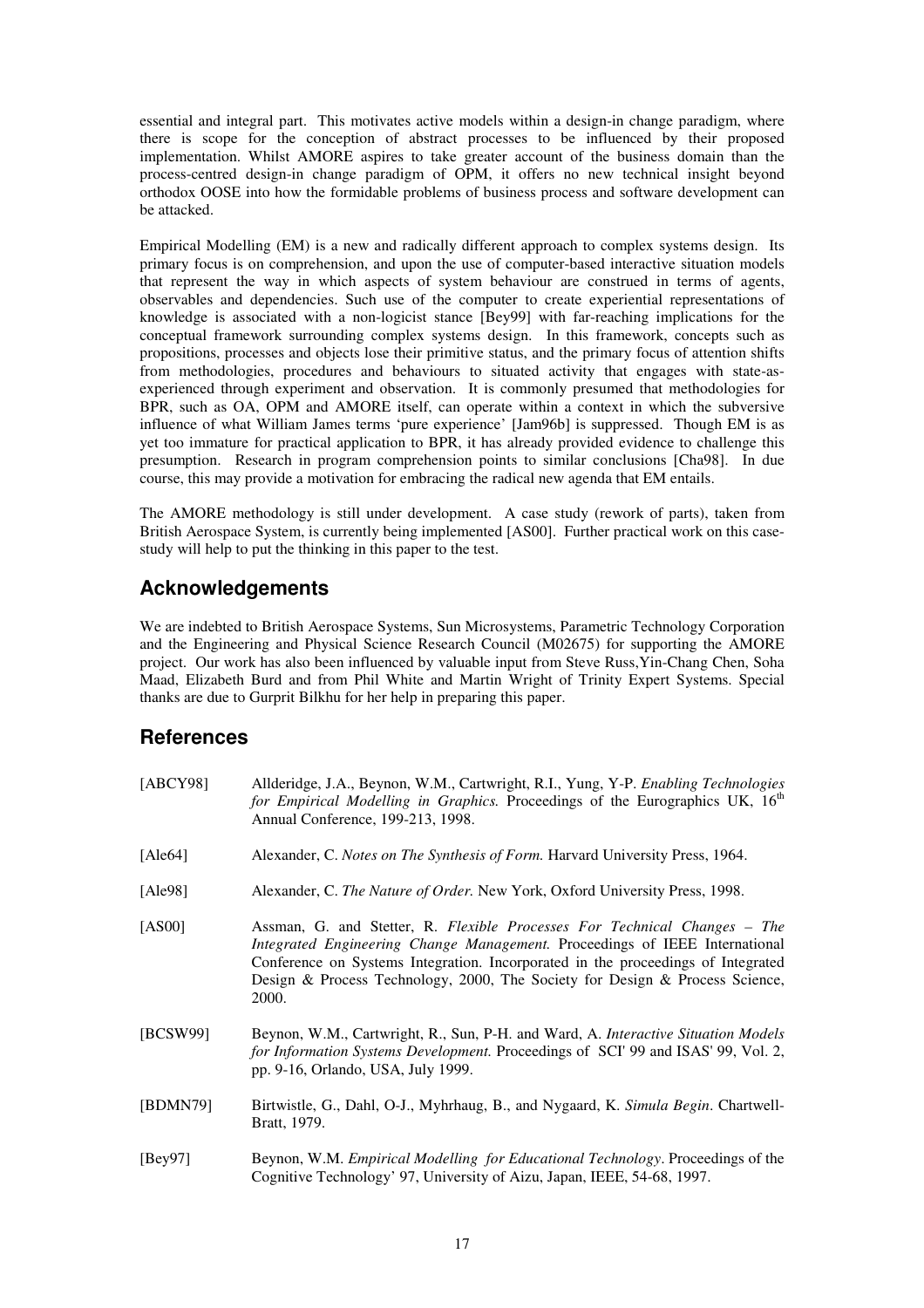essential and integral part. This motivates active models within a design-in change paradigm, where there is scope for the conception of abstract processes to be influenced by their proposed implementation. Whilst AMORE aspires to take greater account of the business domain than the process-centred design-in change paradigm of OPM, it offers no new technical insight beyond orthodox OOSE into how the formidable problems of business process and software development can be attacked.

Empirical Modelling (EM) is a new and radically different approach to complex systems design. Its primary focus is on comprehension, and upon the use of computer-based interactive situation models that represent the way in which aspects of system behaviour are construed in terms of agents, observables and dependencies. Such use of the computer to create experiential representations of knowledge is associated with a non-logicist stance [Bey99] with far-reaching implications for the conceptual framework surrounding complex systems design. In this framework, concepts such as propositions, processes and objects lose their primitive status, and the primary focus of attention shifts from methodologies, procedures and behaviours to situated activity that engages with state-asexperienced through experiment and observation. It is commonly presumed that methodologies for BPR, such as OA, OPM and AMORE itself, can operate within a context in which the subversive influence of what William James terms 'pure experience' [Jam96b] is suppressed. Though EM is as yet too immature for practical application to BPR, it has already provided evidence to challenge this presumption. Research in program comprehension points to similar conclusions [Cha98]. In due course, this may provide a motivation for embracing the radical new agenda that EM entails.

The AMORE methodology is still under development. A case study (rework of parts), taken from British Aerospace System, is currently being implemented [AS00]. Further practical work on this casestudy will help to put the thinking in this paper to the test.

### **Acknowledgements**

We are indebted to British Aerospace Systems, Sun Microsystems, Parametric Technology Corporation and the Engineering and Physical Science Research Council (M02675) for supporting the AMORE project. Our work has also been influenced by valuable input from Steve Russ,Yin-Chang Chen, Soha Maad, Elizabeth Burd and from Phil White and Martin Wright of Trinity Expert Systems. Special thanks are due to Gurprit Bilkhu for her help in preparing this paper.

### **References**

| [ABCY98] | Allderidge, J.A., Beynon, W.M., Cartwright, R.I., Yung, Y-P. Enabling Technologies<br>for Empirical Modelling in Graphics. Proceedings of the Eurographics UK, 16 <sup>th</sup><br>Annual Conference, 199-213, 1998.                                                                                                                  |
|----------|---------------------------------------------------------------------------------------------------------------------------------------------------------------------------------------------------------------------------------------------------------------------------------------------------------------------------------------|
| [Ale64]  | Alexander, C. Notes on The Synthesis of Form. Harvard University Press, 1964.                                                                                                                                                                                                                                                         |
| [Ale98]  | Alexander, C. The Nature of Order. New York, Oxford University Press, 1998.                                                                                                                                                                                                                                                           |
| [AS00]   | Assman, G. and Stetter, R. Flexible Processes For Technical Changes – The<br>Integrated Engineering Change Management. Proceedings of IEEE International<br>Conference on Systems Integration. Incorporated in the proceedings of Integrated<br>Design & Process Technology, 2000, The Society for Design & Process Science,<br>2000. |
| [BCSW99] | Beynon, W.M., Cartwright, R., Sun, P-H. and Ward, A. Interactive Situation Models<br><i>for Information Systems Development.</i> Proceedings of SCI 99 and ISAS 99, Vol. 2,<br>pp. 9-16, Orlando, USA, July 1999.                                                                                                                     |
| [BDMN79] | Birtwistle, G., Dahl, O-J., Myhrhaug, B., and Nygaard, K. Simula Begin. Chartwell-<br>Bratt, 1979.                                                                                                                                                                                                                                    |
| [Bey97]  | Beynon, W.M. Empirical Modelling for Educational Technology. Proceedings of the<br>Cognitive Technology' 97, University of Aizu, Japan, IEEE, 54-68, 1997.                                                                                                                                                                            |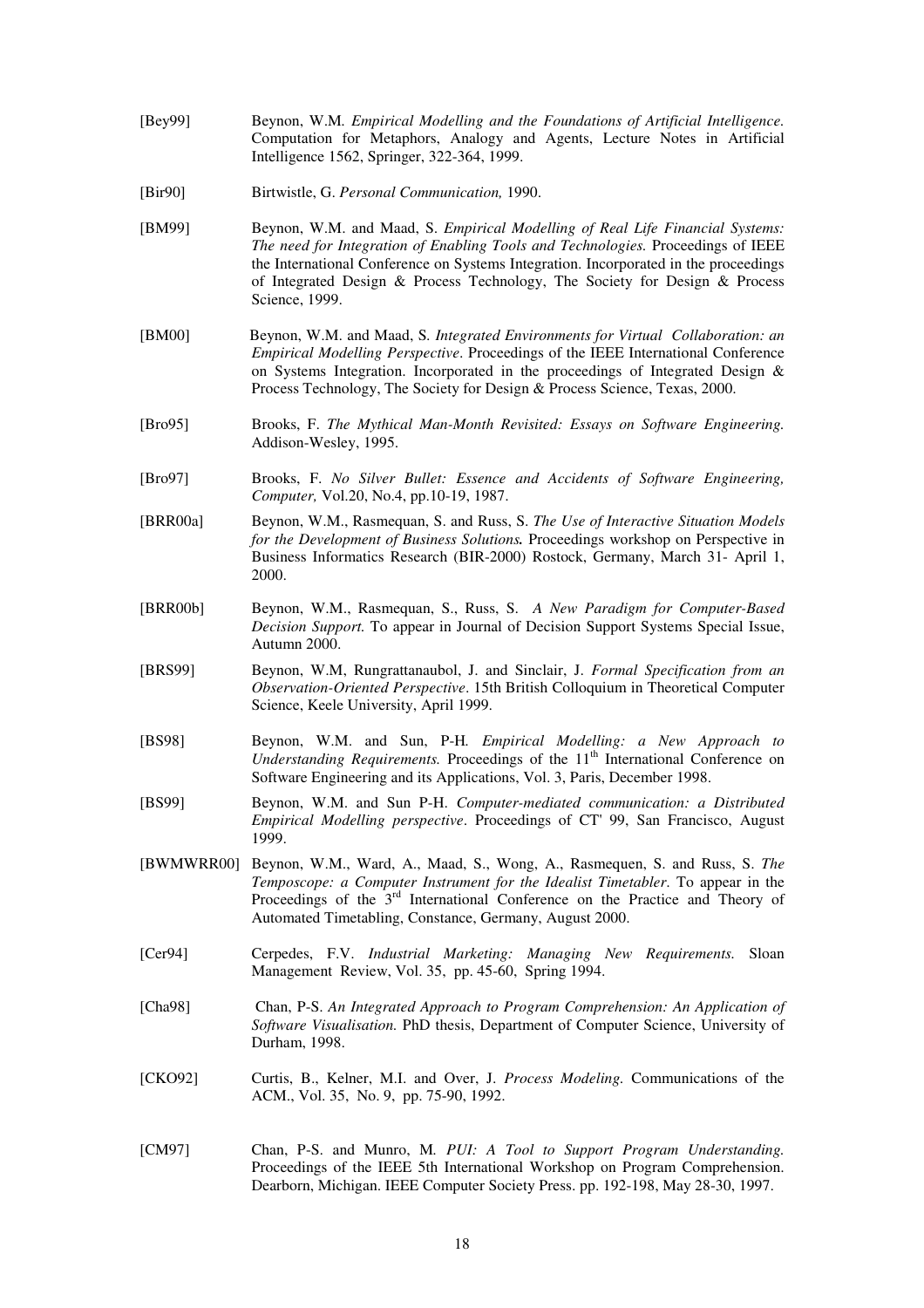- [Bey99] Beynon, W.M*. Empirical Modelling and the Foundations of Artificial Intelligence.* Computation for Metaphors, Analogy and Agents, Lecture Notes in Artificial Intelligence 1562, Springer, 322-364, 1999.
- [Bir90] Birtwistle, G. *Personal Communication,* 1990.
- [BM99] Beynon, W.M. and Maad, S. *Empirical Modelling of Real Life Financial Systems: The need for Integration of Enabling Tools and Technologies.* Proceedings of IEEE the International Conference on Systems Integration. Incorporated in the proceedings of Integrated Design & Process Technology, The Society for Design & Process Science, 1999.
- [BM00] Beynon, W.M. and Maad, S*. Integrated Environments for Virtual Collaboration: an Empirical Modelling Perspective*. Proceedings of the IEEE International Conference on Systems Integration. Incorporated in the proceedings of Integrated Design & Process Technology, The Society for Design & Process Science, Texas, 2000.
- [Bro95] Brooks, F. *The Mythical Man-Month Revisited: Essays on Software Engineering.* Addison-Wesley, 1995.
- [Bro97] Brooks, F. *No Silver Bullet: Essence and Accidents of Software Engineering, Computer,* Vol.20, No.4, pp.10-19, 1987.
- [BRR00a] Beynon, W.M., Rasmequan, S. and Russ, S. *The Use of Interactive Situation Models for the Development of Business Solutions.* Proceedings workshop on Perspective in Business Informatics Research (BIR-2000) Rostock, Germany, March 31- April 1, 2000.
- [BRR00b] Beynon, W.M., Rasmequan, S., Russ, S. *A New Paradigm for Computer-Based Decision Support.* To appear in Journal of Decision Support Systems Special Issue, Autumn 2000.
- [BRS99] Beynon, W.M, Rungrattanaubol, J. and Sinclair, J. *Formal Specification from an Observation-Oriented Perspective*. 15th British Colloquium in Theoretical Computer Science, Keele University, April 1999.
- [BS98] Beynon, W.M. and Sun, P-H*. Empirical Modelling: a New Approach to Understanding Requirements.* Proceedings of the 11<sup>th</sup> International Conference on Software Engineering and its Applications, Vol. 3, Paris, December 1998.
- [BS99] Beynon, W.M. and Sun P-H. *Computer-mediated communication: a Distributed Empirical Modelling perspective*. Proceedings of CT' 99, San Francisco, August 1999.
- [BWMWRR00] Beynon, W.M., Ward, A., Maad, S., Wong, A., Rasmequen, S. and Russ, S. *The Temposcope: a Computer Instrument for the Idealist Timetabler*. To appear in the Proceedings of the 3<sup>rd</sup> International Conference on the Practice and Theory of Automated Timetabling, Constance, Germany, August 2000.
- [Cer94] Cerpedes, F.V. *Industrial Marketing: Managing New Requirements.* Sloan Management Review, Vol. 35, pp. 45-60, Spring 1994.
- [Cha98] Chan, P-S. *An Integrated Approach to Program Comprehension: An Application of Software Visualisation.* PhD thesis, Department of Computer Science, University of Durham, 1998.
- [CKO92] Curtis, B., Kelner, M.I. and Over, J. *Process Modeling.* Communications of the ACM., Vol. 35, No. 9, pp. 75-90, 1992.
- [CM97] Chan, P-S. and Munro, M*. PUI: A Tool to Support Program Understanding.* Proceedings of the IEEE 5th International Workshop on Program Comprehension. Dearborn, Michigan. IEEE Computer Society Press. pp. 192-198, May 28-30, 1997.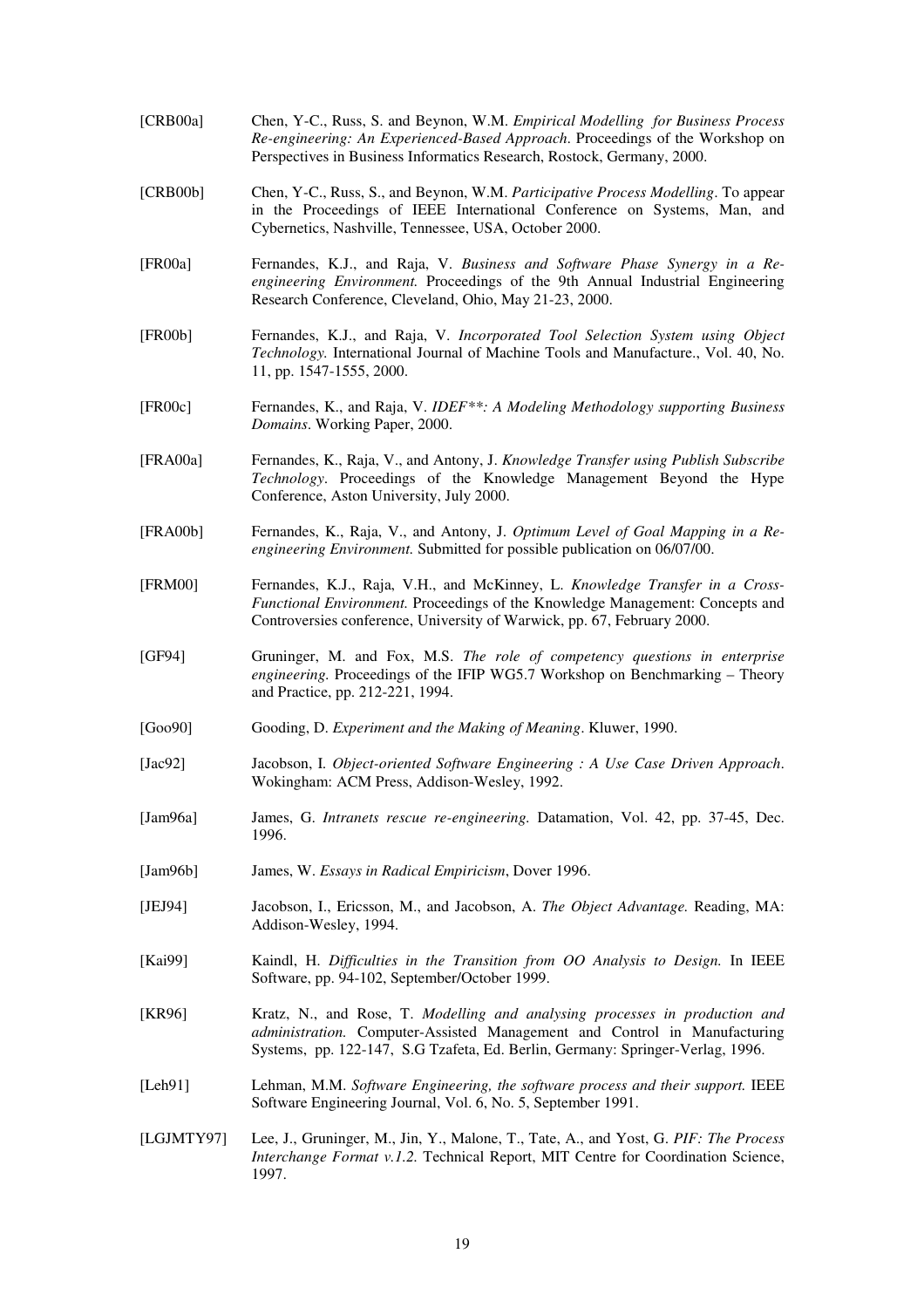[CRB00a] Chen, Y-C., Russ, S. and Beynon, W.M. *Empirical Modelling for Business Process Re-engineering: An Experienced-Based Approach*. Proceedings of the Workshop on Perspectives in Business Informatics Research, Rostock, Germany, 2000. [CRB00b] Chen, Y-C., Russ, S., and Beynon, W.M. *Participative Process Modelling*. To appear in the Proceedings of IEEE International Conference on Systems, Man, and Cybernetics, Nashville, Tennessee, USA, October 2000. [FR00a] Fernandes, K.J., and Raja, V. *Business and Software Phase Synergy in a Reengineering Environment.* Proceedings of the 9th Annual Industrial Engineering Research Conference, Cleveland, Ohio, May 21-23, 2000. [FR00b] Fernandes, K.J., and Raja, V. *Incorporated Tool Selection System using Object Technology.* International Journal of Machine Tools and Manufacture., Vol. 40, No. 11, pp. 1547-1555, 2000. [FR00c] Fernandes, K., and Raja, V. *IDEF\*\*: A Modeling Methodology supporting Business Domains*. Working Paper, 2000. [FRA00a] Fernandes, K., Raja, V., and Antony, J. *Knowledge Transfer using Publish Subscribe Technology*. Proceedings of the Knowledge Management Beyond the Hype Conference, Aston University, July 2000. [FRA00b] Fernandes, K., Raja, V., and Antony, J. *Optimum Level of Goal Mapping in a Reengineering Environment.* Submitted for possible publication on 06/07/00. [FRM00] Fernandes, K.J., Raja, V.H., and McKinney, L. *Knowledge Transfer in a Cross-Functional Environment.* Proceedings of the Knowledge Management: Concepts and Controversies conference, University of Warwick, pp. 67, February 2000. [GF94] Gruninger, M. and Fox, M.S. *The role of competency questions in enterprise engineering.* Proceedings of the IFIP WG5.7 Workshop on Benchmarking – Theory and Practice, pp. 212-221, 1994. [Goo90] Gooding, D. *Experiment and the Making of Meaning*. Kluwer, 1990. [Jac92] Jacobson, I*. Object-oriented Software Engineering : A Use Case Driven Approach*. Wokingham: ACM Press, Addison-Wesley, 1992. [Jam96a] James, G. *Intranets rescue re-engineering.* Datamation, Vol. 42, pp. 37-45, Dec. 1996. [Jam96b] James, W. *Essays in Radical Empiricism*, Dover 1996. [JEJ94] Jacobson, I., Ericsson, M., and Jacobson, A. *The Object Advantage.* Reading, MA: Addison-Wesley, 1994. [Kai99] Kaindl, H. *Difficulties in the Transition from OO Analysis to Design.* In IEEE Software, pp. 94-102, September/October 1999. [KR96] Kratz, N., and Rose, T. *Modelling and analysing processes in production and administration.* Computer-Assisted Management and Control in Manufacturing Systems, pp. 122-147, S.G Tzafeta, Ed. Berlin, Germany: Springer-Verlag, 1996. [Leh91] Lehman, M.M. *Software Engineering, the software process and their support.* IEEE Software Engineering Journal, Vol. 6, No. 5, September 1991. [LGJMTY97] Lee, J., Gruninger, M., Jin, Y., Malone, T., Tate, A., and Yost, G. *PIF: The Process Interchange Format v.1.2.* Technical Report, MIT Centre for Coordination Science, 1997.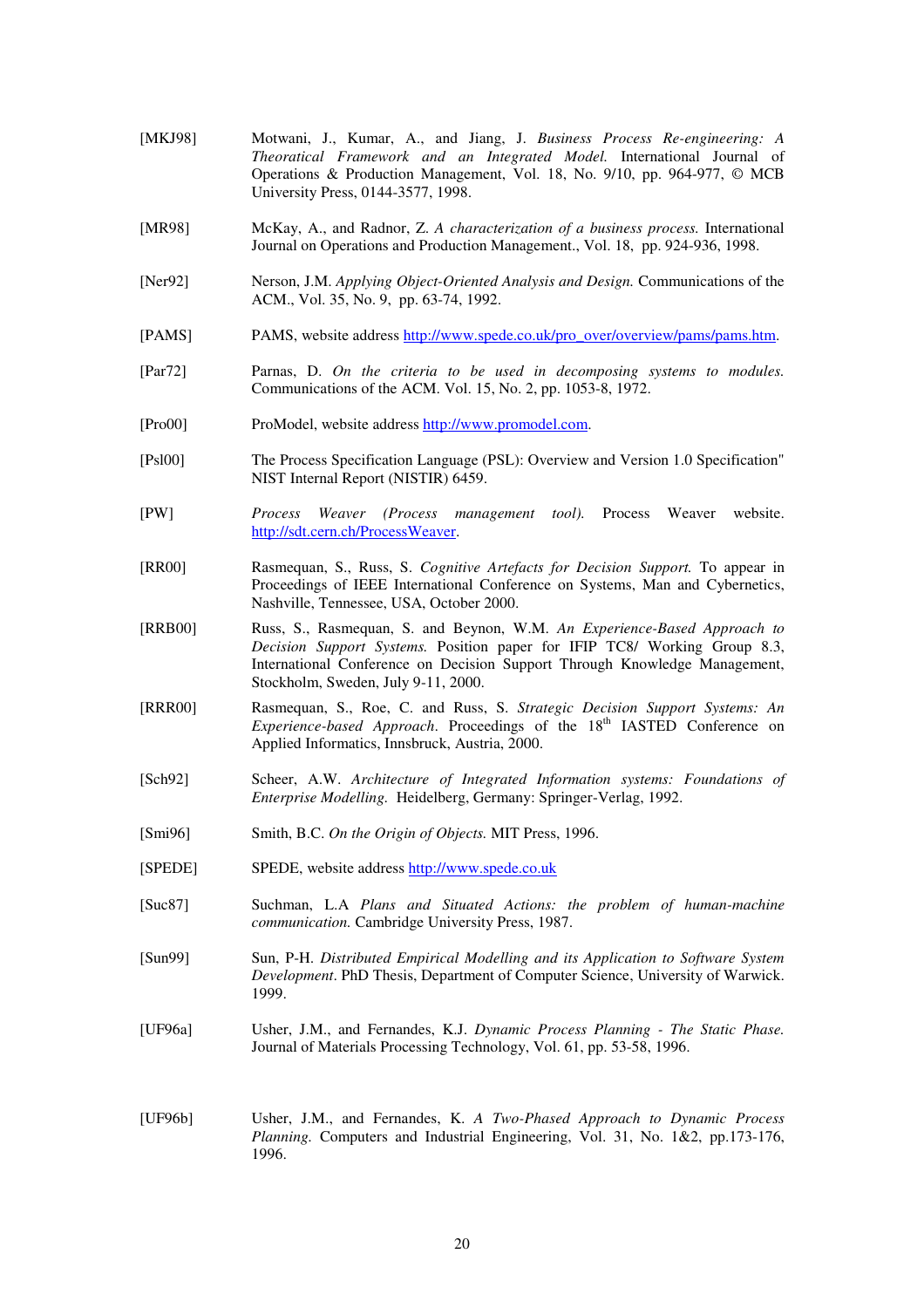- [MKJ98] Motwani, J., Kumar, A., and Jiang, J. *Business Process Re-engineering: A Theoratical Framework and an Integrated Model.* International Journal of Operations & Production Management, Vol. 18, No. 9/10, pp. 964-977, © MCB University Press, 0144-3577, 1998.
- [MR98] McKay, A., and Radnor, Z. *A characterization of a business process.* International Journal on Operations and Production Management., Vol. 18, pp. 924-936, 1998.
- [Ner92] Nerson, J.M. *Applying Object-Oriented Analysis and Design.* Communications of the ACM., Vol. 35, No. 9, pp. 63-74, 1992.
- [PAMS] PAMS, website address http://www.spede.co.uk/pro\_over/overview/pams/pams.htm.
- [Par72] Parnas, D. *On the criteria to be used in decomposing systems to modules.* Communications of the ACM. Vol. 15, No. 2, pp. 1053-8, 1972.
- [Pro00] ProModel, website address http://www.promodel.com.
- [Psl00] The Process Specification Language (PSL): Overview and Version 1.0 Specification" NIST Internal Report (NISTIR) 6459.
- [PW] *Process Weaver (Process management tool).* Process Weaver website. http://sdt.cern.ch/ProcessWeaver.
- [RR00] Rasmequan, S., Russ, S. *Cognitive Artefacts for Decision Support.* To appear in Proceedings of IEEE International Conference on Systems, Man and Cybernetics, Nashville, Tennessee, USA, October 2000.
- [RRB00] Russ, S., Rasmequan, S. and Beynon, W.M. *An Experience-Based Approach to Decision Support Systems.* Position paper for IFIP TC8/ Working Group 8.3, International Conference on Decision Support Through Knowledge Management, Stockholm, Sweden, July 9-11, 2000.
- [RRR00] Rasmequan, S., Roe, C. and Russ, S. *Strategic Decision Support Systems: An Experience-based Approach*. Proceedings of the 18<sup>th</sup> IASTED Conference on Applied Informatics, Innsbruck, Austria, 2000.
- [Sch92] Scheer, A.W. *Architecture of Integrated Information systems: Foundations of Enterprise Modelling.* Heidelberg, Germany: Springer-Verlag, 1992.
- [Smi96] Smith, B.C. *On the Origin of Objects.* MIT Press, 1996.
- [SPEDE] SPEDE, website address http://www.spede.co.uk
- [Suc87] Suchman, L.A *Plans and Situated Actions: the problem of human-machine communication.* Cambridge University Press, 1987.
- [Sun99] Sun, P-H. *Distributed Empirical Modelling and its Application to Software System Development*. PhD Thesis, Department of Computer Science, University of Warwick. 1999.
- [UF96a] Usher, J.M., and Fernandes, K.J. *Dynamic Process Planning The Static Phase.* Journal of Materials Processing Technology, Vol. 61, pp. 53-58, 1996.
- [UF96b] Usher, J.M., and Fernandes, K. *A Two-Phased Approach to Dynamic Process Planning.* Computers and Industrial Engineering, Vol. 31, No. 1&2, pp.173-176, 1996.